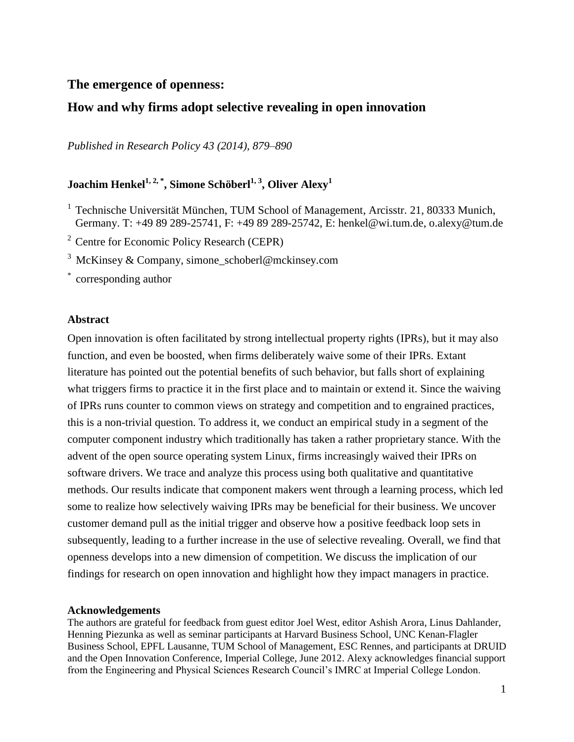# **The emergence of openness:**

# **How and why firms adopt selective revealing in open innovation**

*Published in Research Policy 43 (2014), 879–890*

# **Joachim Henkel1, 2, \*, Simone Schöberl1, 3, Oliver Alexy<sup>1</sup>**

- <sup>1</sup> Technische Universität München, TUM School of Management, Arcisstr. 21, 80333 Munich, Germany. T: +49 89 289-25741, F: +49 89 289-25742, E: henkel@wi.tum.de, o.alexy@tum.de
- <sup>2</sup> Centre for Economic Policy Research (CEPR)
- <sup>3</sup> McKinsey & Company, simone schoberl@mckinsey.com
- \* corresponding author

#### **Abstract**

Open innovation is often facilitated by strong intellectual property rights (IPRs), but it may also function, and even be boosted, when firms deliberately waive some of their IPRs. Extant literature has pointed out the potential benefits of such behavior, but falls short of explaining what triggers firms to practice it in the first place and to maintain or extend it. Since the waiving of IPRs runs counter to common views on strategy and competition and to engrained practices, this is a non-trivial question. To address it, we conduct an empirical study in a segment of the computer component industry which traditionally has taken a rather proprietary stance. With the advent of the open source operating system Linux, firms increasingly waived their IPRs on software drivers. We trace and analyze this process using both qualitative and quantitative methods. Our results indicate that component makers went through a learning process, which led some to realize how selectively waiving IPRs may be beneficial for their business. We uncover customer demand pull as the initial trigger and observe how a positive feedback loop sets in subsequently, leading to a further increase in the use of selective revealing. Overall, we find that openness develops into a new dimension of competition. We discuss the implication of our findings for research on open innovation and highlight how they impact managers in practice.

#### **Acknowledgements**

The authors are grateful for feedback from guest editor Joel West, editor Ashish Arora, Linus Dahlander, Henning Piezunka as well as seminar participants at Harvard Business School, UNC Kenan-Flagler Business School, EPFL Lausanne, TUM School of Management, ESC Rennes, and participants at DRUID and the Open Innovation Conference, Imperial College, June 2012. Alexy acknowledges financial support from the Engineering and Physical Sciences Research Council's IMRC at Imperial College London.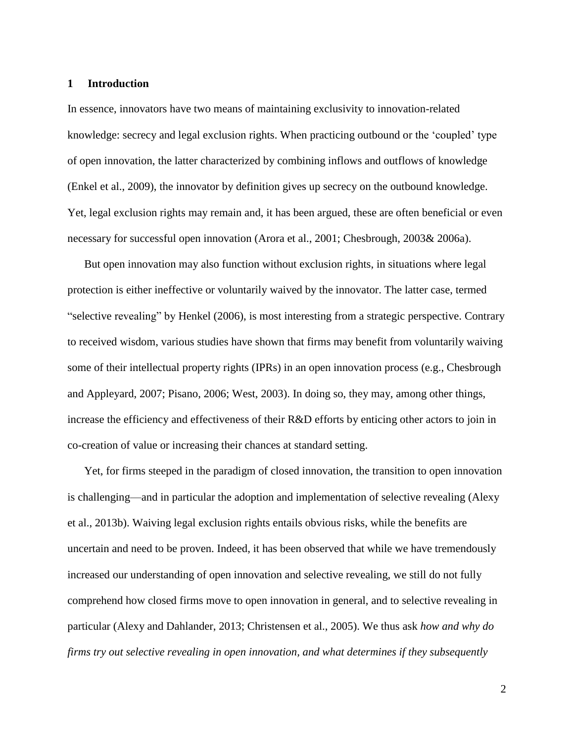#### **1 Introduction**

In essence, innovators have two means of maintaining exclusivity to innovation-related knowledge: secrecy and legal exclusion rights. When practicing outbound or the 'coupled' type of open innovation, the latter characterized by combining inflows and outflows of knowledge [\(Enkel et al., 2009\)](#page-35-0), the innovator by definition gives up secrecy on the outbound knowledge. Yet, legal exclusion rights may remain and, it has been argued, these are often beneficial or even necessary for successful open innovation [\(Arora et al., 2001;](#page-34-0) [Chesbrough, 2003&](#page-34-1) [2006a\)](#page-34-2).

But open innovation may also function without exclusion rights, in situations where legal protection is either ineffective or voluntarily waived by the innovator. The latter case, termed "selective revealing" by Henkel [\(2006\)](#page-35-1), is most interesting from a strategic perspective. Contrary to received wisdom, various studies have shown that firms may benefit from voluntarily waiving some of their intellectual property rights (IPRs) in an open innovation process (e.g., [Chesbrough](#page-34-3)  [and Appleyard, 2007;](#page-34-3) [Pisano, 2006;](#page-36-0) [West, 2003\)](#page-36-1). In doing so, they may, among other things, increase the efficiency and effectiveness of their R&D efforts by enticing other actors to join in co-creation of value or increasing their chances at standard setting.

Yet, for firms steeped in the paradigm of closed innovation, the transition to open innovation is challenging—and in particular the adoption and implementation of selective revealing [\(Alexy](#page-34-4)  [et al., 2013b\)](#page-34-4). Waiving legal exclusion rights entails obvious risks, while the benefits are uncertain and need to be proven. Indeed, it has been observed that while we have tremendously increased our understanding of open innovation and selective revealing, we still do not fully comprehend how closed firms move to open innovation in general, and to selective revealing in particular [\(Alexy and Dahlander, 2013;](#page-34-5) [Christensen et al., 2005\)](#page-34-6). We thus ask *how and why do firms try out selective revealing in open innovation, and what determines if they subsequently*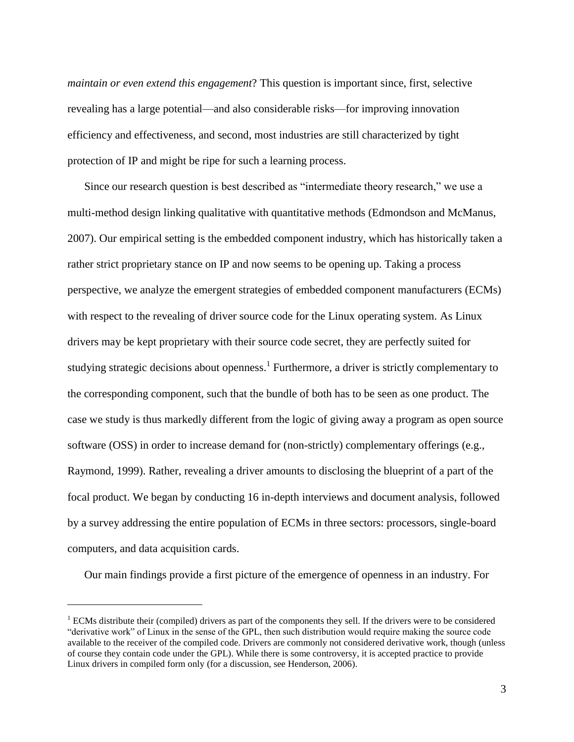*maintain or even extend this engagement*? This question is important since, first, selective revealing has a large potential—and also considerable risks—for improving innovation efficiency and effectiveness, and second, most industries are still characterized by tight protection of IP and might be ripe for such a learning process.

Since our research question is best described as "intermediate theory research," we use a multi-method design linking qualitative with quantitative methods [\(Edmondson and McManus,](#page-35-2)  [2007\)](#page-35-2). Our empirical setting is the embedded component industry, which has historically taken a rather strict proprietary stance on IP and now seems to be opening up. Taking a process perspective, we analyze the emergent strategies of embedded component manufacturers (ECMs) with respect to the revealing of driver source code for the Linux operating system. As Linux drivers may be kept proprietary with their source code secret, they are perfectly suited for studying strategic decisions about openness.<sup>1</sup> Furthermore, a driver is strictly complementary to the corresponding component, such that the bundle of both has to be seen as one product. The case we study is thus markedly different from the logic of giving away a program as open source software (OSS) in order to increase demand for (non-strictly) complementary offerings [\(e.g.,](#page-36-2)  [Raymond, 1999\)](#page-36-2). Rather, revealing a driver amounts to disclosing the blueprint of a part of the focal product. We began by conducting 16 in-depth interviews and document analysis, followed by a survey addressing the entire population of ECMs in three sectors: processors, single-board computers, and data acquisition cards.

Our main findings provide a first picture of the emergence of openness in an industry. For

 $\overline{a}$ 

 $<sup>1</sup>$  ECMs distribute their (compiled) drivers as part of the components they sell. If the drivers were to be considered</sup> "derivative work" of Linux in the sense of the GPL, then such distribution would require making the source code available to the receiver of the compiled code. Drivers are commonly not considered derivative work, though (unless of course they contain code under the GPL). While there is some controversy, it is accepted practice to provide Linux drivers in compiled form only [\(for a discussion, see Henderson, 2006\)](#page-35-3).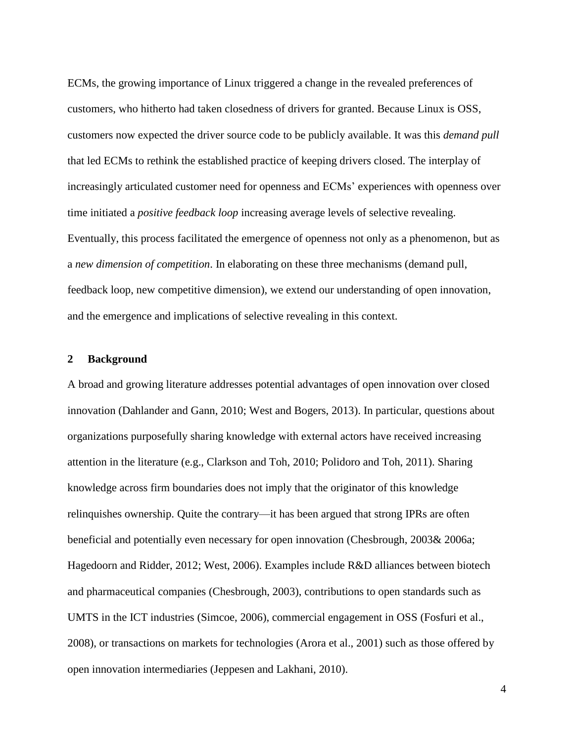ECMs, the growing importance of Linux triggered a change in the revealed preferences of customers, who hitherto had taken closedness of drivers for granted. Because Linux is OSS, customers now expected the driver source code to be publicly available. It was this *demand pull* that led ECMs to rethink the established practice of keeping drivers closed. The interplay of increasingly articulated customer need for openness and ECMs' experiences with openness over time initiated a *positive feedback loop* increasing average levels of selective revealing. Eventually, this process facilitated the emergence of openness not only as a phenomenon, but as a *new dimension of competition*. In elaborating on these three mechanisms (demand pull, feedback loop, new competitive dimension), we extend our understanding of open innovation, and the emergence and implications of selective revealing in this context.

#### **2 Background**

A broad and growing literature addresses potential advantages of open innovation over closed innovation [\(Dahlander and Gann, 2010;](#page-35-4) [West and Bogers, 2013\)](#page-37-0). In particular, questions about organizations purposefully sharing knowledge with external actors have received increasing attention in the literature (e.g., [Clarkson and Toh, 2010;](#page-35-5) [Polidoro and Toh, 2011\)](#page-36-3). Sharing knowledge across firm boundaries does not imply that the originator of this knowledge relinquishes ownership. Quite the contrary—it has been argued that strong IPRs are often beneficial and potentially even necessary for open innovation [\(Chesbrough, 2003&](#page-34-1) [2006a;](#page-34-2) [Hagedoorn and Ridder, 2012;](#page-35-6) [West, 2006\)](#page-36-4). Examples include R&D alliances between biotech and pharmaceutical companies [\(Chesbrough, 2003\)](#page-34-1), contributions to open standards such as UMTS in the ICT industries [\(Simcoe, 2006\)](#page-36-5), commercial engagement in OSS [\(Fosfuri et al.,](#page-35-7)  [2008\)](#page-35-7), or transactions on markets for technologies [\(Arora et al., 2001\)](#page-34-0) such as those offered by open innovation intermediaries [\(Jeppesen and Lakhani, 2010\)](#page-35-8).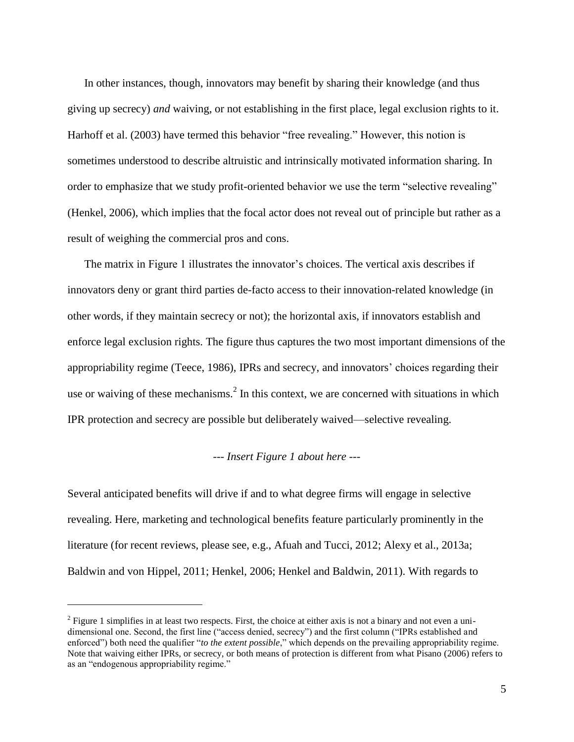In other instances, though, innovators may benefit by sharing their knowledge (and thus giving up secrecy) *and* waiving, or not establishing in the first place, legal exclusion rights to it. Harhoff et al. [\(2003\)](#page-35-9) have termed this behavior "free revealing." However, this notion is sometimes understood to describe altruistic and intrinsically motivated information sharing. In order to emphasize that we study profit-oriented behavior we use the term "selective revealing" [\(Henkel, 2006\)](#page-35-1), which implies that the focal actor does not reveal out of principle but rather as a result of weighing the commercial pros and cons.

The matrix in Figure 1 illustrates the innovator's choices. The vertical axis describes if innovators deny or grant third parties de-facto access to their innovation-related knowledge (in other words, if they maintain secrecy or not); the horizontal axis, if innovators establish and enforce legal exclusion rights. The figure thus captures the two most important dimensions of the appropriability regime [\(Teece, 1986\)](#page-36-6), IPRs and secrecy, and innovators' choices regarding their use or waiving of these mechanisms.<sup>2</sup> In this context, we are concerned with situations in which IPR protection and secrecy are possible but deliberately waived—selective revealing.

#### *--- Insert Figure 1 about here ---*

Several anticipated benefits will drive if and to what degree firms will engage in selective revealing. Here, marketing and technological benefits feature particularly prominently in the literature (for recent reviews, please see, e.g., [Afuah and Tucci, 2012;](#page-34-7) [Alexy et al., 2013a;](#page-34-8) [Baldwin and von Hippel, 2011;](#page-34-9) [Henkel, 2006;](#page-35-1) [Henkel and Baldwin, 2011\)](#page-35-10). With regards to

 $\overline{a}$ 

<sup>&</sup>lt;sup>2</sup> Figure 1 simplifies in at least two respects. First, the choice at either axis is not a binary and not even a unidimensional one. Second, the first line ("access denied, secrecy") and the first column ("IPRs established and enforced") both need the qualifier "*to the extent possible*," which depends on the prevailing appropriability regime. Note that waiving either IPRs, or secrecy, or both means of protection is different from what Pisano [\(2006\)](#page-36-0) refers to as an "endogenous appropriability regime."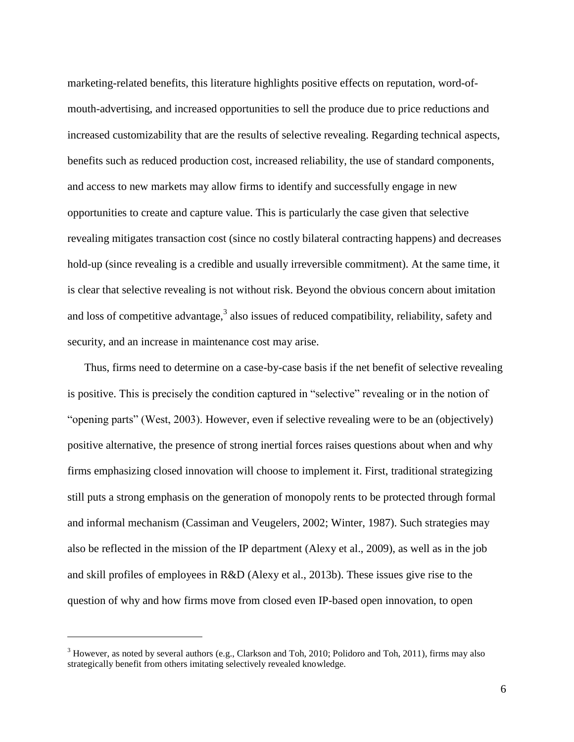marketing-related benefits, this literature highlights positive effects on reputation, word-ofmouth-advertising, and increased opportunities to sell the produce due to price reductions and increased customizability that are the results of selective revealing. Regarding technical aspects, benefits such as reduced production cost, increased reliability, the use of standard components, and access to new markets may allow firms to identify and successfully engage in new opportunities to create and capture value. This is particularly the case given that selective revealing mitigates transaction cost (since no costly bilateral contracting happens) and decreases hold-up (since revealing is a credible and usually irreversible commitment). At the same time, it is clear that selective revealing is not without risk. Beyond the obvious concern about imitation and loss of competitive advantage, $3$  also issues of reduced compatibility, reliability, safety and security, and an increase in maintenance cost may arise.

Thus, firms need to determine on a case-by-case basis if the net benefit of selective revealing is positive. This is precisely the condition captured in "selective" revealing or in the notion of "opening parts" (West, 2003). However, even if selective revealing were to be an (objectively) positive alternative, the presence of strong inertial forces raises questions about when and why firms emphasizing closed innovation will choose to implement it. First, traditional strategizing still puts a strong emphasis on the generation of monopoly rents to be protected through formal and informal mechanism [\(Cassiman and Veugelers, 2002;](#page-34-10) [Winter, 1987\)](#page-37-1). Such strategies may also be reflected in the mission of the IP department [\(Alexy et al., 2009\)](#page-34-11), as well as in the job and skill profiles of employees in R&D [\(Alexy et al., 2013b\)](#page-34-4). These issues give rise to the question of why and how firms move from closed even IP-based open innovation, to open

 $\overline{a}$ 

 $3$  However, as noted by several authors (e.g., [Clarkson and Toh, 2010;](#page-35-5) [Polidoro and Toh, 2011\)](#page-36-3), firms may also strategically benefit from others imitating selectively revealed knowledge.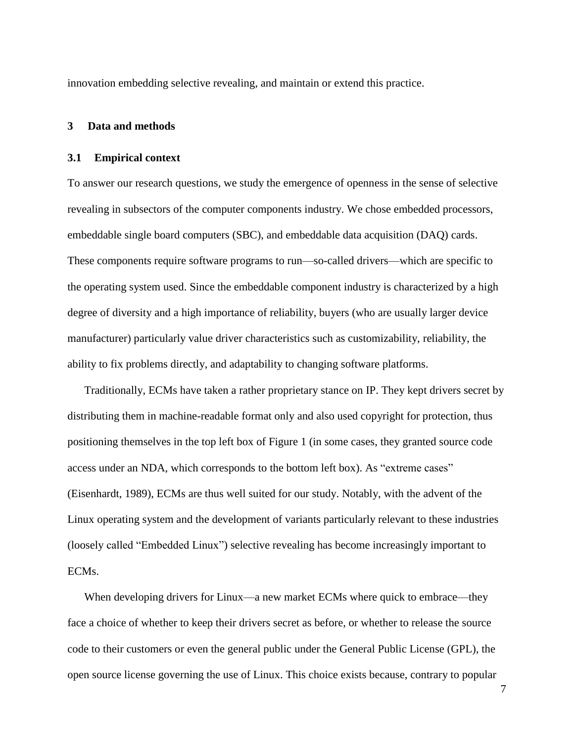innovation embedding selective revealing, and maintain or extend this practice.

#### **3 Data and methods**

#### **3.1 Empirical context**

To answer our research questions, we study the emergence of openness in the sense of selective revealing in subsectors of the computer components industry. We chose embedded processors, embeddable single board computers (SBC), and embeddable data acquisition (DAQ) cards. These components require software programs to run—so-called drivers—which are specific to the operating system used. Since the embeddable component industry is characterized by a high degree of diversity and a high importance of reliability, buyers (who are usually larger device manufacturer) particularly value driver characteristics such as customizability, reliability, the ability to fix problems directly, and adaptability to changing software platforms.

Traditionally, ECMs have taken a rather proprietary stance on IP. They kept drivers secret by distributing them in machine-readable format only and also used copyright for protection, thus positioning themselves in the top left box of Figure 1 (in some cases, they granted source code access under an NDA, which corresponds to the bottom left box). As "extreme cases" [\(Eisenhardt, 1989\)](#page-35-11), ECMs are thus well suited for our study. Notably, with the advent of the Linux operating system and the development of variants particularly relevant to these industries (loosely called "Embedded Linux") selective revealing has become increasingly important to ECMs.

When developing drivers for Linux—a new market ECMs where quick to embrace—they face a choice of whether to keep their drivers secret as before, or whether to release the source code to their customers or even the general public under the General Public License (GPL), the open source license governing the use of Linux. This choice exists because, contrary to popular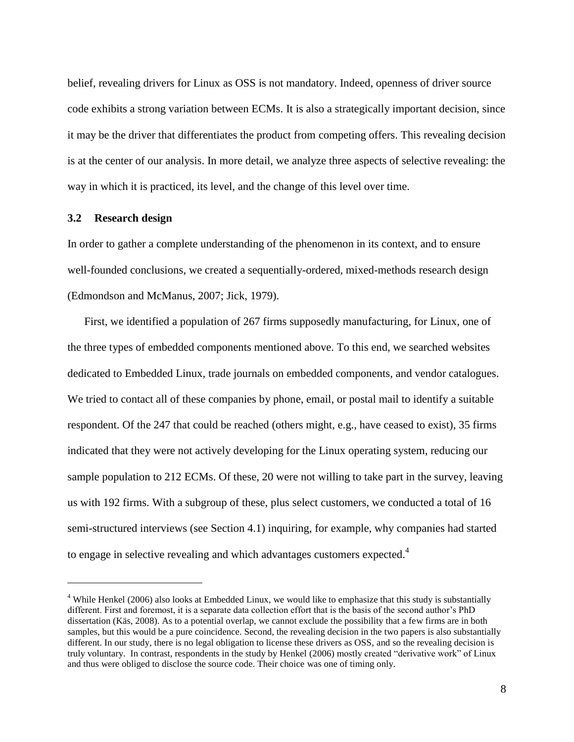belief, revealing drivers for Linux as OSS is not mandatory. Indeed, openness of driver source code exhibits a strong variation between ECMs. It is also a strategically important decision, since it may be the driver that differentiates the product from competing offers. This revealing decision is at the center of our analysis. In more detail, we analyze three aspects of selective revealing: the way in which it is practiced, its level, and the change of this level over time.

#### **3.2 Research design**

 $\overline{a}$ 

In order to gather a complete understanding of the phenomenon in its context, and to ensure well-founded conclusions, we created a sequentially-ordered, mixed-methods research design [\(Edmondson and McManus, 2007;](#page-35-2) [Jick, 1979\)](#page-35-12).

First, we identified a population of 267 firms supposedly manufacturing, for Linux, one of the three types of embedded components mentioned above. To this end, we searched websites dedicated to Embedded Linux, trade journals on embedded components, and vendor catalogues. We tried to contact all of these companies by phone, email, or postal mail to identify a suitable respondent. Of the 247 that could be reached (others might, e.g., have ceased to exist), 35 firms indicated that they were not actively developing for the Linux operating system, reducing our sample population to 212 ECMs. Of these, 20 were not willing to take part in the survey, leaving us with 192 firms. With a subgroup of these, plus select customers, we conducted a total of 16 semi-structured interviews (see Section [4.1\)](#page-8-0) inquiring, for example, why companies had started to engage in selective revealing and which advantages customers expected.<sup>4</sup>

<sup>&</sup>lt;sup>4</sup> While Henkel [\(2006\)](#page-35-1) also looks at Embedded Linux, we would like to emphasize that this study is substantially different. First and foremost, it is a separate data collection effort that is the basis of the second author's PhD dissertation [\(Käs, 2008\)](#page-36-7). As to a potential overlap, we cannot exclude the possibility that a few firms are in both samples, but this would be a pure coincidence. Second, the revealing decision in the two papers is also substantially different. In our study, there is no legal obligation to license these drivers as OSS, and so the revealing decision is truly voluntary. In contrast, respondents in the study by Henkel [\(2006\)](#page-35-1) mostly created "derivative work" of Linux and thus were obliged to disclose the source code. Their choice was one of timing only.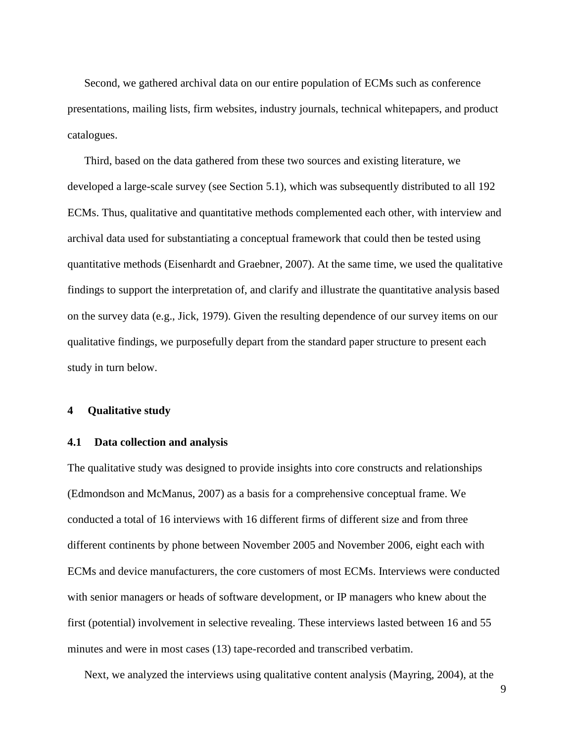Second, we gathered archival data on our entire population of ECMs such as conference presentations, mailing lists, firm websites, industry journals, technical whitepapers, and product catalogues.

Third, based on the data gathered from these two sources and existing literature, we developed a large-scale survey (see Section [5.1\)](#page-16-0), which was subsequently distributed to all 192 ECMs. Thus, qualitative and quantitative methods complemented each other, with interview and archival data used for substantiating a conceptual framework that could then be tested using quantitative methods [\(Eisenhardt and Graebner, 2007\)](#page-35-13). At the same time, we used the qualitative findings to support the interpretation of, and clarify and illustrate the quantitative analysis based on the survey data [\(e.g., Jick, 1979\)](#page-35-12). Given the resulting dependence of our survey items on our qualitative findings, we purposefully depart from the standard paper structure to present each study in turn below.

#### **4 Qualitative study**

#### <span id="page-8-0"></span>**4.1 Data collection and analysis**

The qualitative study was designed to provide insights into core constructs and relationships [\(Edmondson and McManus, 2007\)](#page-35-2) as a basis for a comprehensive conceptual frame. We conducted a total of 16 interviews with 16 different firms of different size and from three different continents by phone between November 2005 and November 2006, eight each with ECMs and device manufacturers, the core customers of most ECMs. Interviews were conducted with senior managers or heads of software development, or IP managers who knew about the first (potential) involvement in selective revealing. These interviews lasted between 16 and 55 minutes and were in most cases (13) tape-recorded and transcribed verbatim.

Next, we analyzed the interviews using qualitative content analysis [\(Mayring, 2004\)](#page-36-8), at the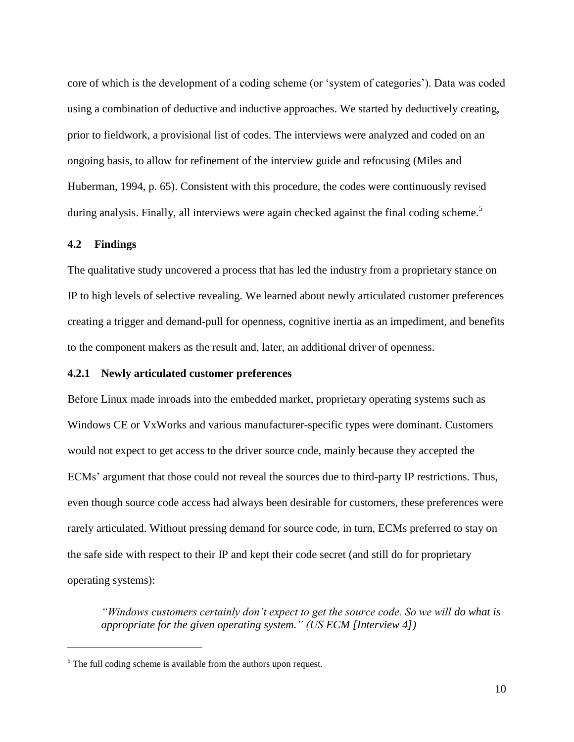core of which is the development of a coding scheme (or 'system of categories'). Data was coded using a combination of deductive and inductive approaches. We started by deductively creating, prior to fieldwork, a provisional list of codes. The interviews were analyzed and coded on an ongoing basis, to allow for refinement of the interview guide and refocusing [\(Miles and](#page-36-9)  [Huberman, 1994, p. 65\)](#page-36-9). Consistent with this procedure, the codes were continuously revised during analysis. Finally, all interviews were again checked against the final coding scheme.<sup>5</sup>

### **4.2 Findings**

 $\overline{a}$ 

The qualitative study uncovered a process that has led the industry from a proprietary stance on IP to high levels of selective revealing. We learned about newly articulated customer preferences creating a trigger and demand-pull for openness, cognitive inertia as an impediment, and benefits to the component makers as the result and, later, an additional driver of openness.

#### **4.2.1 Newly articulated customer preferences**

Before Linux made inroads into the embedded market, proprietary operating systems such as Windows CE or VxWorks and various manufacturer-specific types were dominant. Customers would not expect to get access to the driver source code, mainly because they accepted the ECMs' argument that those could not reveal the sources due to third-party IP restrictions. Thus, even though source code access had always been desirable for customers, these preferences were rarely articulated. Without pressing demand for source code, in turn, ECMs preferred to stay on the safe side with respect to their IP and kept their code secret (and still do for proprietary operating systems):

*"Windows customers certainly don't expect to get the source code. So we will do what is appropriate for the given operating system." (US ECM [Interview 4])*

 $<sup>5</sup>$  The full coding scheme is available from the authors upon request.</sup>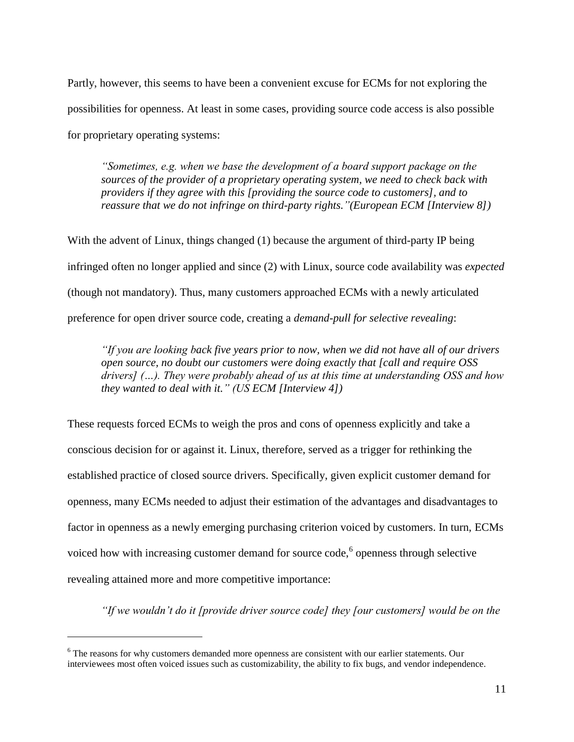Partly, however, this seems to have been a convenient excuse for ECMs for not exploring the possibilities for openness. At least in some cases, providing source code access is also possible for proprietary operating systems:

*"Sometimes, e.g. when we base the development of a board support package on the sources of the provider of a proprietary operating system, we need to check back with providers if they agree with this [providing the source code to customers], and to reassure that we do not infringe on third-party rights."(European ECM [Interview 8])*

With the advent of Linux, things changed (1) because the argument of third-party IP being infringed often no longer applied and since (2) with Linux, source code availability was *expected* (though not mandatory). Thus, many customers approached ECMs with a newly articulated preference for open driver source code, creating a *demand-pull for selective revealing*:

*"If you are looking back five years prior to now, when we did not have all of our drivers open source, no doubt our customers were doing exactly that [call and require OSS drivers] (…). They were probably ahead of us at this time at understanding OSS and how they wanted to deal with it." (US ECM [Interview 4])* 

These requests forced ECMs to weigh the pros and cons of openness explicitly and take a conscious decision for or against it. Linux, therefore, served as a trigger for rethinking the established practice of closed source drivers. Specifically, given explicit customer demand for openness, many ECMs needed to adjust their estimation of the advantages and disadvantages to factor in openness as a newly emerging purchasing criterion voiced by customers. In turn, ECMs voiced how with increasing customer demand for source code,<sup>6</sup> openness through selective revealing attained more and more competitive importance:

*"If we wouldn't do it [provide driver source code] they [our customers] would be on the* 

 $\overline{a}$ 

<sup>&</sup>lt;sup>6</sup> The reasons for why customers demanded more openness are consistent with our earlier statements. Our interviewees most often voiced issues such as customizability, the ability to fix bugs, and vendor independence.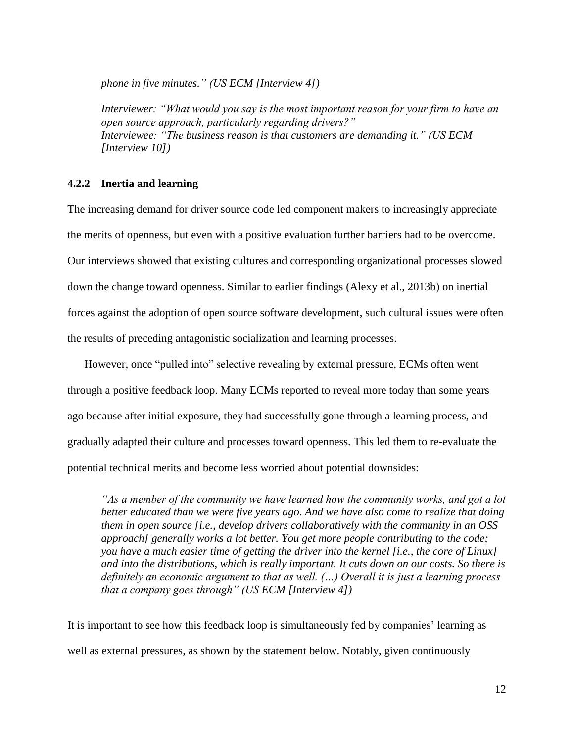*phone in five minutes." (US ECM [Interview 4])*

*Interviewer: "What would you say is the most important reason for your firm to have an open source approach, particularly regarding drivers?" Interviewee: "The business reason is that customers are demanding it." (US ECM [Interview 10])*

#### **4.2.2 Inertia and learning**

The increasing demand for driver source code led component makers to increasingly appreciate the merits of openness, but even with a positive evaluation further barriers had to be overcome. Our interviews showed that existing cultures and corresponding organizational processes slowed down the change toward openness. Similar to earlier findings [\(Alexy et al., 2013b\)](#page-34-4) on inertial forces against the adoption of open source software development, such cultural issues were often the results of preceding antagonistic socialization and learning processes.

However, once "pulled into" selective revealing by external pressure, ECMs often went through a positive feedback loop. Many ECMs reported to reveal more today than some years ago because after initial exposure, they had successfully gone through a learning process, and gradually adapted their culture and processes toward openness. This led them to re-evaluate the potential technical merits and become less worried about potential downsides:

*"As a member of the community we have learned how the community works, and got a lot better educated than we were five years ago. And we have also come to realize that doing them in open source [i.e., develop drivers collaboratively with the community in an OSS approach] generally works a lot better. You get more people contributing to the code; you have a much easier time of getting the driver into the kernel [i.e., the core of Linux] and into the distributions, which is really important. It cuts down on our costs. So there is definitely an economic argument to that as well. (…) Overall it is just a learning process that a company goes through" (US ECM [Interview 4])*

It is important to see how this feedback loop is simultaneously fed by companies' learning as well as external pressures, as shown by the statement below. Notably, given continuously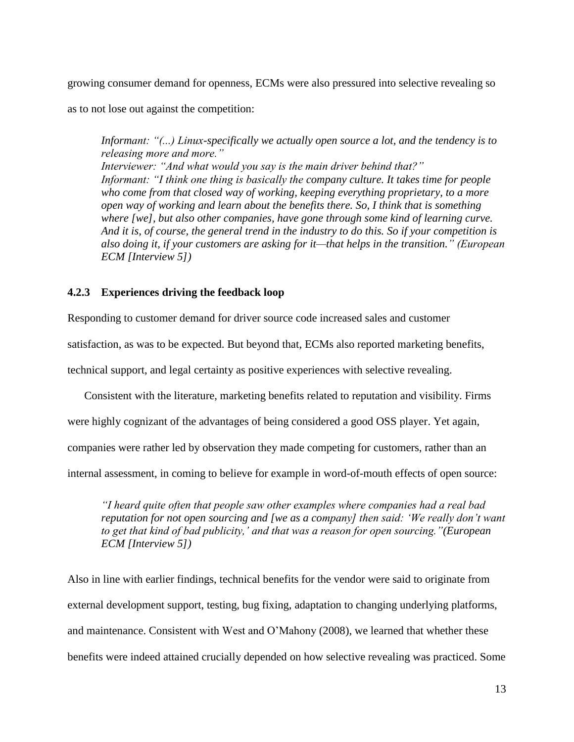growing consumer demand for openness, ECMs were also pressured into selective revealing so

as to not lose out against the competition:

*Informant: "(...) Linux-specifically we actually open source a lot, and the tendency is to releasing more and more." Interviewer: "And what would you say is the main driver behind that?" Informant: "I think one thing is basically the company culture. It takes time for people who come from that closed way of working, keeping everything proprietary, to a more open way of working and learn about the benefits there. So, I think that is something where [we], but also other companies, have gone through some kind of learning curve. And it is, of course, the general trend in the industry to do this. So if your competition is also doing it, if your customers are asking for it—that helps in the transition." (European ECM [Interview 5])*

## **4.2.3 Experiences driving the feedback loop**

Responding to customer demand for driver source code increased sales and customer

satisfaction, as was to be expected. But beyond that, ECMs also reported marketing benefits,

technical support, and legal certainty as positive experiences with selective revealing.

Consistent with the literature, marketing benefits related to reputation and visibility. Firms

were highly cognizant of the advantages of being considered a good OSS player. Yet again,

companies were rather led by observation they made competing for customers, rather than an

internal assessment, in coming to believe for example in word-of-mouth effects of open source:

*"I heard quite often that people saw other examples where companies had a real bad reputation for not open sourcing and [we as a company] then said: 'We really don't want to get that kind of bad publicity,' and that was a reason for open sourcing."(European ECM [Interview 5])*

Also in line with earlier findings, technical benefits for the vendor were said to originate from external development support, testing, bug fixing, adaptation to changing underlying platforms, and maintenance. Consistent with West and O'Mahony [\(2008\)](#page-37-2), we learned that whether these benefits were indeed attained crucially depended on how selective revealing was practiced. Some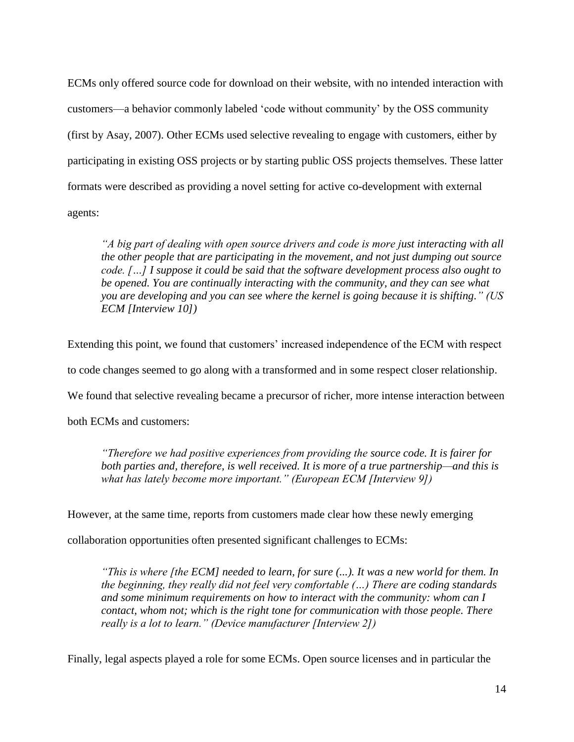ECMs only offered source code for download on their website, with no intended interaction with customers—a behavior commonly labeled 'code without community' by the OSS community [\(first by Asay, 2007\)](#page-34-12). Other ECMs used selective revealing to engage with customers, either by participating in existing OSS projects or by starting public OSS projects themselves. These latter formats were described as providing a novel setting for active co-development with external agents:

*"A big part of dealing with open source drivers and code is more just interacting with all the other people that are participating in the movement, and not just dumping out source code. […] I suppose it could be said that the software development process also ought to*  be opened. You are continually interacting with the community, and they can see what *you are developing and you can see where the kernel is going because it is shifting." (US ECM [Interview 10])*

Extending this point, we found that customers' increased independence of the ECM with respect to code changes seemed to go along with a transformed and in some respect closer relationship. We found that selective revealing became a precursor of richer, more intense interaction between both ECMs and customers:

*"Therefore we had positive experiences from providing the source code. It is fairer for both parties and, therefore, is well received. It is more of a true partnership—and this is what has lately become more important." (European ECM [Interview 9])*

However, at the same time, reports from customers made clear how these newly emerging

collaboration opportunities often presented significant challenges to ECMs:

*"This is where [the ECM] needed to learn, for sure (...). It was a new world for them. In the beginning, they really did not feel very comfortable (…) There are coding standards and some minimum requirements on how to interact with the community: whom can I contact, whom not; which is the right tone for communication with those people. There really is a lot to learn." (Device manufacturer [Interview 2])*

Finally, legal aspects played a role for some ECMs. Open source licenses and in particular the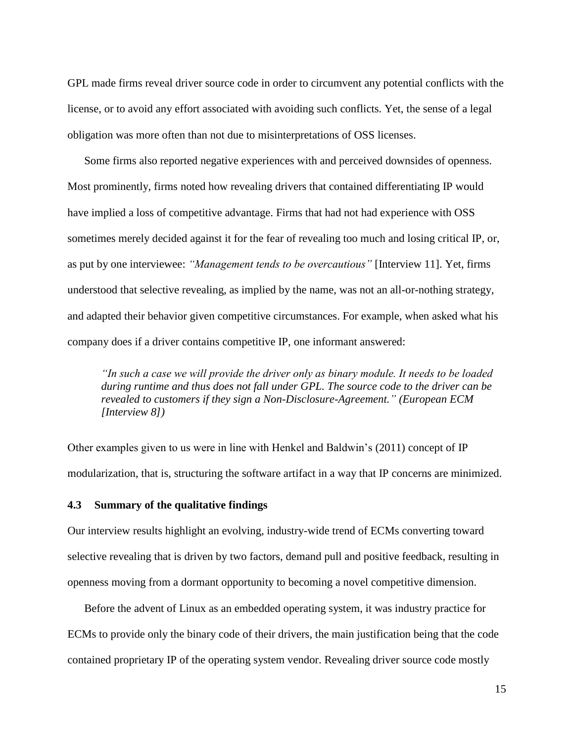GPL made firms reveal driver source code in order to circumvent any potential conflicts with the license, or to avoid any effort associated with avoiding such conflicts. Yet, the sense of a legal obligation was more often than not due to misinterpretations of OSS licenses.

Some firms also reported negative experiences with and perceived downsides of openness. Most prominently, firms noted how revealing drivers that contained differentiating IP would have implied a loss of competitive advantage. Firms that had not had experience with OSS sometimes merely decided against it for the fear of revealing too much and losing critical IP, or, as put by one interviewee: *"Management tends to be overcautious"* [Interview 11]. Yet, firms understood that selective revealing, as implied by the name, was not an all-or-nothing strategy, and adapted their behavior given competitive circumstances. For example, when asked what his company does if a driver contains competitive IP, one informant answered:

*"In such a case we will provide the driver only as binary module. It needs to be loaded during runtime and thus does not fall under GPL. The source code to the driver can be revealed to customers if they sign a Non-Disclosure-Agreement." (European ECM [Interview 8])*

Other examples given to us were in line with Henkel and Baldwin's [\(2011\)](#page-35-10) concept of IP modularization, that is, structuring the software artifact in a way that IP concerns are minimized.

#### **4.3 Summary of the qualitative findings**

Our interview results highlight an evolving, industry-wide trend of ECMs converting toward selective revealing that is driven by two factors, demand pull and positive feedback, resulting in openness moving from a dormant opportunity to becoming a novel competitive dimension.

Before the advent of Linux as an embedded operating system, it was industry practice for ECMs to provide only the binary code of their drivers, the main justification being that the code contained proprietary IP of the operating system vendor. Revealing driver source code mostly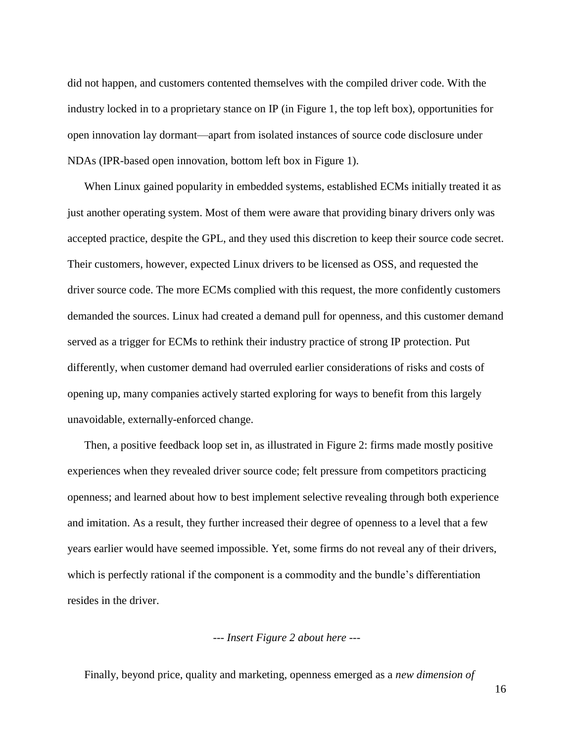did not happen, and customers contented themselves with the compiled driver code. With the industry locked in to a proprietary stance on IP (in Figure 1, the top left box), opportunities for open innovation lay dormant—apart from isolated instances of source code disclosure under NDAs (IPR-based open innovation, bottom left box in Figure 1).

When Linux gained popularity in embedded systems, established ECMs initially treated it as just another operating system. Most of them were aware that providing binary drivers only was accepted practice, despite the GPL, and they used this discretion to keep their source code secret. Their customers, however, expected Linux drivers to be licensed as OSS, and requested the driver source code. The more ECMs complied with this request, the more confidently customers demanded the sources. Linux had created a demand pull for openness, and this customer demand served as a trigger for ECMs to rethink their industry practice of strong IP protection. Put differently, when customer demand had overruled earlier considerations of risks and costs of opening up, many companies actively started exploring for ways to benefit from this largely unavoidable, externally-enforced change.

Then, a positive feedback loop set in, as illustrated in Figure 2: firms made mostly positive experiences when they revealed driver source code; felt pressure from competitors practicing openness; and learned about how to best implement selective revealing through both experience and imitation. As a result, they further increased their degree of openness to a level that a few years earlier would have seemed impossible. Yet, some firms do not reveal any of their drivers, which is perfectly rational if the component is a commodity and the bundle's differentiation resides in the driver.

#### *--- Insert Figure 2 about here ---*

Finally, beyond price, quality and marketing, openness emerged as a *new dimension of*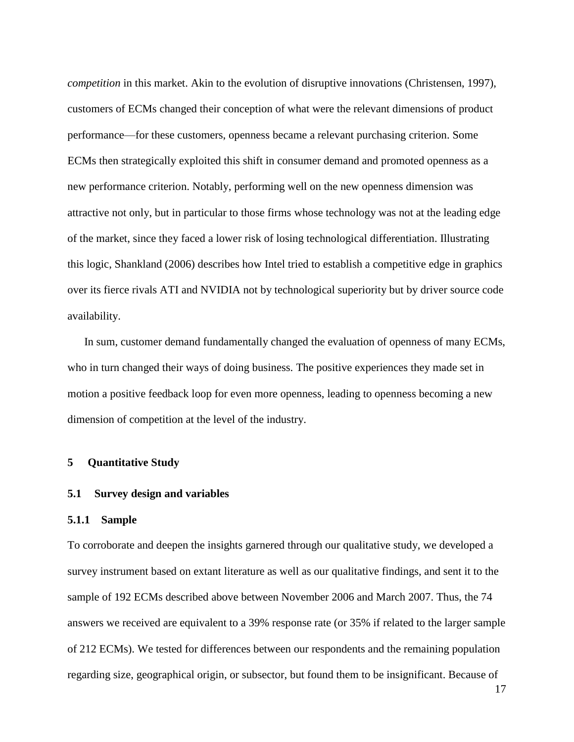*competition* in this market. Akin to the evolution of disruptive innovations [\(Christensen, 1997\)](#page-34-13), customers of ECMs changed their conception of what were the relevant dimensions of product performance—for these customers, openness became a relevant purchasing criterion. Some ECMs then strategically exploited this shift in consumer demand and promoted openness as a new performance criterion. Notably, performing well on the new openness dimension was attractive not only, but in particular to those firms whose technology was not at the leading edge of the market, since they faced a lower risk of losing technological differentiation. Illustrating this logic, Shankland [\(2006\)](#page-36-10) describes how Intel tried to establish a competitive edge in graphics over its fierce rivals ATI and NVIDIA not by technological superiority but by driver source code availability.

In sum, customer demand fundamentally changed the evaluation of openness of many ECMs, who in turn changed their ways of doing business. The positive experiences they made set in motion a positive feedback loop for even more openness, leading to openness becoming a new dimension of competition at the level of the industry.

#### **5 Quantitative Study**

#### <span id="page-16-0"></span>**5.1 Survey design and variables**

#### **5.1.1 Sample**

To corroborate and deepen the insights garnered through our qualitative study, we developed a survey instrument based on extant literature as well as our qualitative findings, and sent it to the sample of 192 ECMs described above between November 2006 and March 2007. Thus, the 74 answers we received are equivalent to a 39% response rate (or 35% if related to the larger sample of 212 ECMs). We tested for differences between our respondents and the remaining population regarding size, geographical origin, or subsector, but found them to be insignificant. Because of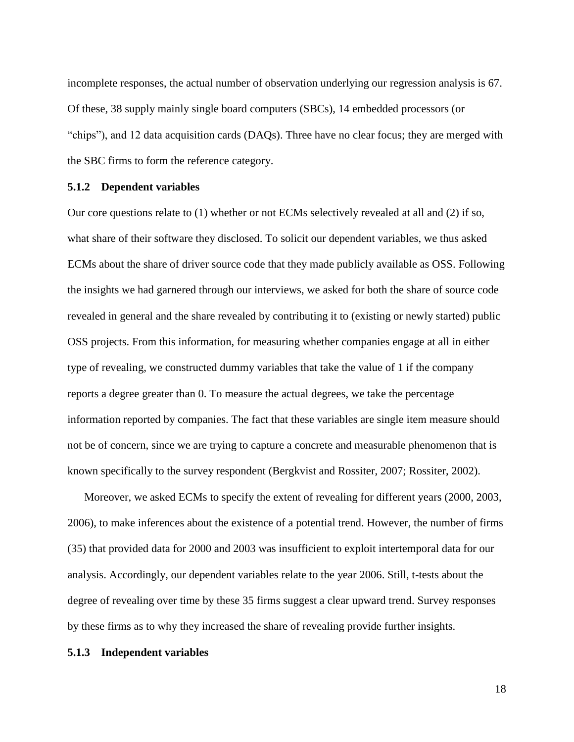incomplete responses, the actual number of observation underlying our regression analysis is 67. Of these, 38 supply mainly single board computers (SBCs), 14 embedded processors (or "chips"), and 12 data acquisition cards (DAQs). Three have no clear focus; they are merged with the SBC firms to form the reference category.

#### <span id="page-17-0"></span>**5.1.2 Dependent variables**

Our core questions relate to (1) whether or not ECMs selectively revealed at all and (2) if so, what share of their software they disclosed. To solicit our dependent variables, we thus asked ECMs about the share of driver source code that they made publicly available as OSS. Following the insights we had garnered through our interviews, we asked for both the share of source code revealed in general and the share revealed by contributing it to (existing or newly started) public OSS projects. From this information, for measuring whether companies engage at all in either type of revealing, we constructed dummy variables that take the value of 1 if the company reports a degree greater than 0. To measure the actual degrees, we take the percentage information reported by companies. The fact that these variables are single item measure should not be of concern, since we are trying to capture a concrete and measurable phenomenon that is known specifically to the survey respondent [\(Bergkvist and Rossiter, 2007;](#page-34-14) [Rossiter, 2002\)](#page-36-11).

Moreover, we asked ECMs to specify the extent of revealing for different years (2000, 2003, 2006), to make inferences about the existence of a potential trend. However, the number of firms (35) that provided data for 2000 and 2003 was insufficient to exploit intertemporal data for our analysis. Accordingly, our dependent variables relate to the year 2006. Still, t-tests about the degree of revealing over time by these 35 firms suggest a clear upward trend. Survey responses by these firms as to why they increased the share of revealing provide further insights.

#### **5.1.3 Independent variables**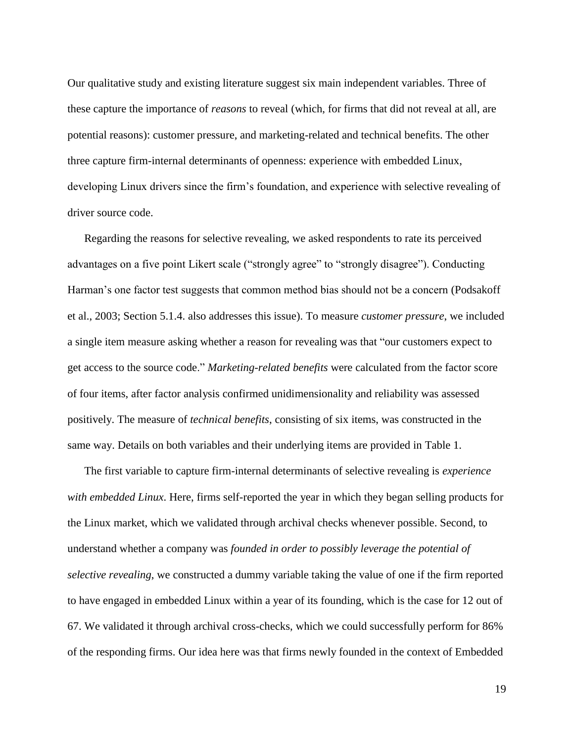Our qualitative study and existing literature suggest six main independent variables. Three of these capture the importance of *reasons* to reveal (which, for firms that did not reveal at all, are potential reasons): customer pressure, and marketing-related and technical benefits. The other three capture firm-internal determinants of openness: experience with embedded Linux, developing Linux drivers since the firm's foundation, and experience with selective revealing of driver source code.

Regarding the reasons for selective revealing, we asked respondents to rate its perceived advantages on a five point Likert scale ("strongly agree" to "strongly disagree"). Conducting Harman's one factor test suggests that common method bias should not be a concern [\(Podsakoff](#page-36-12)  [et al., 2003; Section 5.1.4. also addresses this issue\)](#page-36-12). To measure *customer pressure*, we included a single item measure asking whether a reason for revealing was that "our customers expect to get access to the source code." *Marketing-related benefits* were calculated from the factor score of four items, after factor analysis confirmed unidimensionality and reliability was assessed positively. The measure of *technical benefits*, consisting of six items, was constructed in the same way. Details on both variables and their underlying items are provided in Table 1.

The first variable to capture firm-internal determinants of selective revealing is *experience with embedded Linux*. Here, firms self-reported the year in which they began selling products for the Linux market, which we validated through archival checks whenever possible. Second, to understand whether a company was *founded in order to possibly leverage the potential of selective revealing*, we constructed a dummy variable taking the value of one if the firm reported to have engaged in embedded Linux within a year of its founding, which is the case for 12 out of 67. We validated it through archival cross-checks, which we could successfully perform for 86% of the responding firms. Our idea here was that firms newly founded in the context of Embedded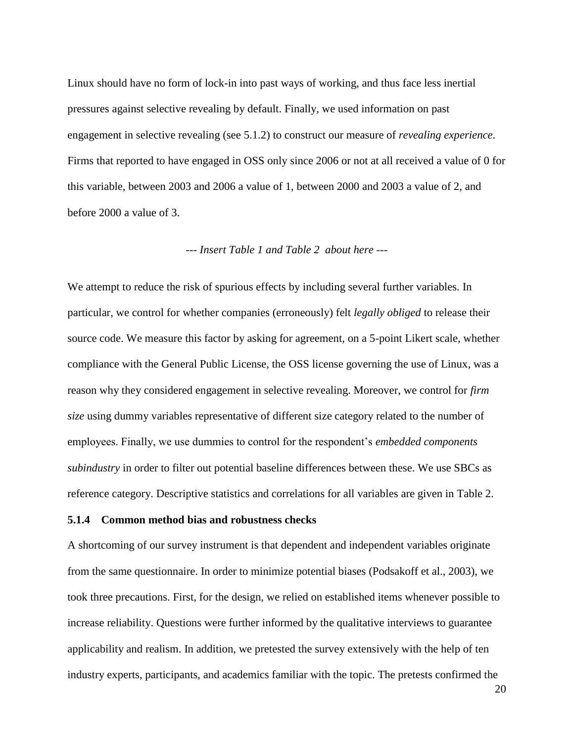Linux should have no form of lock-in into past ways of working, and thus face less inertial pressures against selective revealing by default. Finally, we used information on past engagement in selective revealing (see [5.1.2\)](#page-17-0) to construct our measure of *revealing experience*. Firms that reported to have engaged in OSS only since 2006 or not at all received a value of 0 for this variable, between 2003 and 2006 a value of 1, between 2000 and 2003 a value of 2, and before 2000 a value of 3.

#### *--- Insert Table 1 and Table 2 about here ---*

We attempt to reduce the risk of spurious effects by including several further variables. In particular, we control for whether companies (erroneously) felt *legally obliged* to release their source code. We measure this factor by asking for agreement, on a 5-point Likert scale, whether compliance with the General Public License, the OSS license governing the use of Linux, was a reason why they considered engagement in selective revealing. Moreover, we control for *firm size* using dummy variables representative of different size category related to the number of employees. Finally, we use dummies to control for the respondent's *embedded components subindustry* in order to filter out potential baseline differences between these. We use SBCs as reference category. Descriptive statistics and correlations for all variables are given in Table 2.

#### **5.1.4 Common method bias and robustness checks**

A shortcoming of our survey instrument is that dependent and independent variables originate from the same questionnaire. In order to minimize potential biases [\(Podsakoff et al., 2003\)](#page-36-12), we took three precautions. First, for the design, we relied on established items whenever possible to increase reliability. Questions were further informed by the qualitative interviews to guarantee applicability and realism. In addition, we pretested the survey extensively with the help of ten industry experts, participants, and academics familiar with the topic. The pretests confirmed the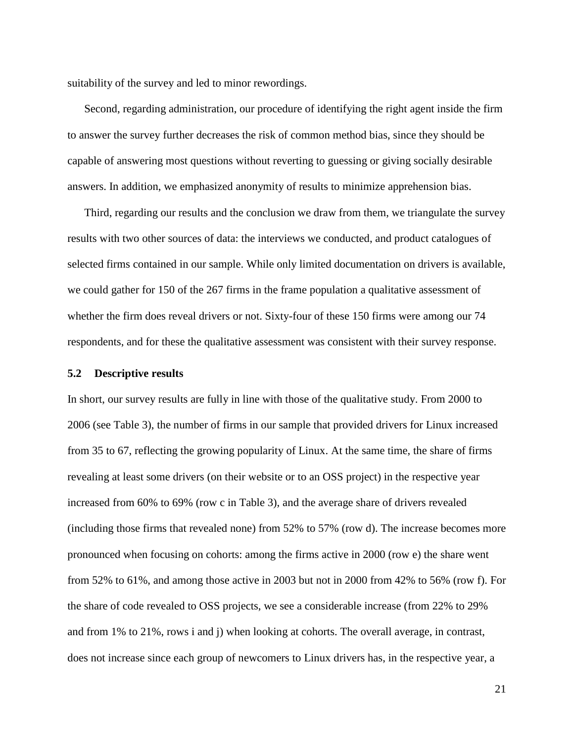suitability of the survey and led to minor rewordings.

Second, regarding administration, our procedure of identifying the right agent inside the firm to answer the survey further decreases the risk of common method bias, since they should be capable of answering most questions without reverting to guessing or giving socially desirable answers. In addition, we emphasized anonymity of results to minimize apprehension bias.

Third, regarding our results and the conclusion we draw from them, we triangulate the survey results with two other sources of data: the interviews we conducted, and product catalogues of selected firms contained in our sample. While only limited documentation on drivers is available, we could gather for 150 of the 267 firms in the frame population a qualitative assessment of whether the firm does reveal drivers or not. Sixty-four of these 150 firms were among our 74 respondents, and for these the qualitative assessment was consistent with their survey response.

#### **5.2 Descriptive results**

In short, our survey results are fully in line with those of the qualitative study. From 2000 to 2006 (see Table 3), the number of firms in our sample that provided drivers for Linux increased from 35 to 67, reflecting the growing popularity of Linux. At the same time, the share of firms revealing at least some drivers (on their website or to an OSS project) in the respective year increased from 60% to 69% (row c in Table 3), and the average share of drivers revealed (including those firms that revealed none) from 52% to 57% (row d). The increase becomes more pronounced when focusing on cohorts: among the firms active in 2000 (row e) the share went from 52% to 61%, and among those active in 2003 but not in 2000 from 42% to 56% (row f). For the share of code revealed to OSS projects, we see a considerable increase (from 22% to 29% and from 1% to 21%, rows i and j) when looking at cohorts. The overall average, in contrast, does not increase since each group of newcomers to Linux drivers has, in the respective year, a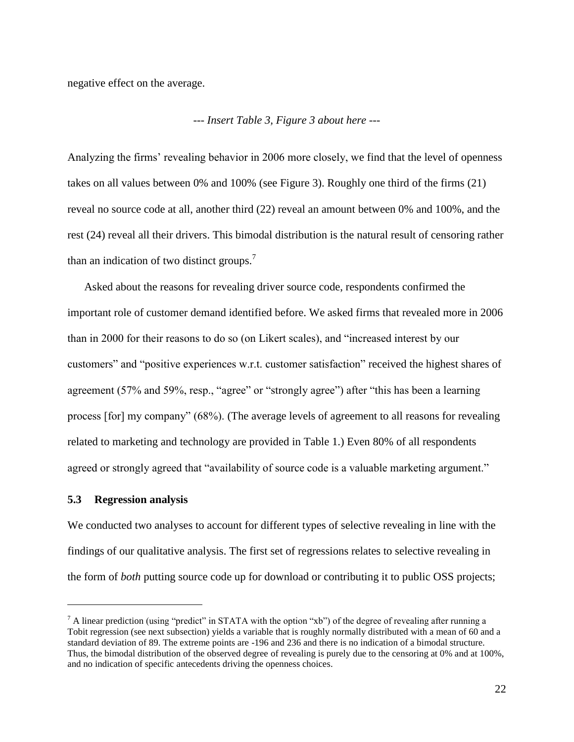negative effect on the average.

*--- Insert Table 3, Figure 3 about here ---*

Analyzing the firms' revealing behavior in 2006 more closely, we find that the level of openness takes on all values between 0% and 100% (see Figure 3). Roughly one third of the firms (21) reveal no source code at all, another third (22) reveal an amount between 0% and 100%, and the rest (24) reveal all their drivers. This bimodal distribution is the natural result of censoring rather than an indication of two distinct groups.<sup>7</sup>

Asked about the reasons for revealing driver source code, respondents confirmed the important role of customer demand identified before. We asked firms that revealed more in 2006 than in 2000 for their reasons to do so (on Likert scales), and "increased interest by our customers" and "positive experiences w.r.t. customer satisfaction" received the highest shares of agreement (57% and 59%, resp., "agree" or "strongly agree") after "this has been a learning process [for] my company" (68%). (The average levels of agreement to all reasons for revealing related to marketing and technology are provided in Table 1.) Even 80% of all respondents agreed or strongly agreed that "availability of source code is a valuable marketing argument."

#### **5.3 Regression analysis**

 $\overline{a}$ 

We conducted two analyses to account for different types of selective revealing in line with the findings of our qualitative analysis. The first set of regressions relates to selective revealing in the form of *both* putting source code up for download or contributing it to public OSS projects;

 $^7$  A linear prediction (using "predict" in STATA with the option "xb") of the degree of revealing after running a Tobit regression (see next subsection) yields a variable that is roughly normally distributed with a mean of 60 and a standard deviation of 89. The extreme points are -196 and 236 and there is no indication of a bimodal structure. Thus, the bimodal distribution of the observed degree of revealing is purely due to the censoring at 0% and at 100%, and no indication of specific antecedents driving the openness choices.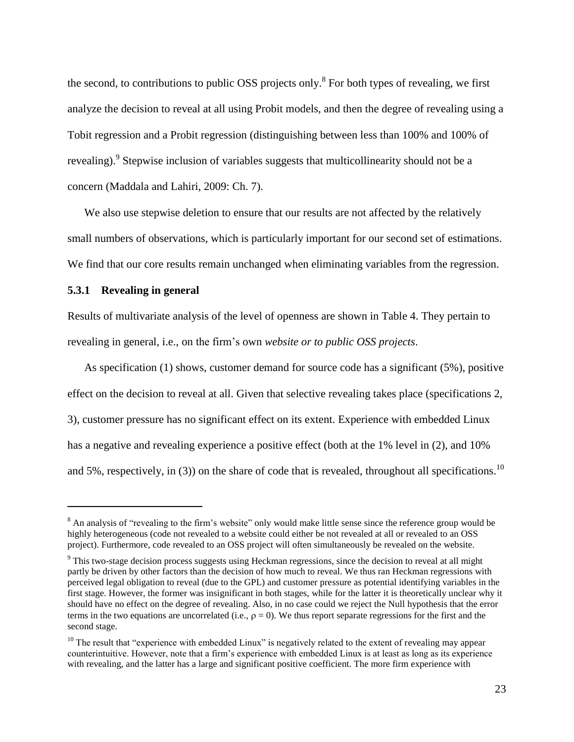the second, to contributions to public OSS projects only.<sup>8</sup> For both types of revealing, we first analyze the decision to reveal at all using Probit models, and then the degree of revealing using a Tobit regression and a Probit regression (distinguishing between less than 100% and 100% of revealing). <sup>9</sup> Stepwise inclusion of variables suggests that multicollinearity should not be a concern [\(Maddala and Lahiri, 2009: Ch. 7\)](#page-36-13).

We also use stepwise deletion to ensure that our results are not affected by the relatively small numbers of observations, which is particularly important for our second set of estimations. We find that our core results remain unchanged when eliminating variables from the regression.

#### **5.3.1 Revealing in general**

 $\overline{a}$ 

Results of multivariate analysis of the level of openness are shown in Table 4. They pertain to revealing in general, i.e., on the firm's own *website or to public OSS projects*.

As specification (1) shows, customer demand for source code has a significant (5%), positive effect on the decision to reveal at all. Given that selective revealing takes place (specifications 2, 3), customer pressure has no significant effect on its extent. Experience with embedded Linux has a negative and revealing experience a positive effect (both at the 1% level in (2), and 10% and 5%, respectively, in (3)) on the share of code that is revealed, throughout all specifications.<sup>10</sup>

<sup>&</sup>lt;sup>8</sup> An analysis of "revealing to the firm's website" only would make little sense since the reference group would be highly heterogeneous (code not revealed to a website could either be not revealed at all or revealed to an OSS project). Furthermore, code revealed to an OSS project will often simultaneously be revealed on the website.

<sup>&</sup>lt;sup>9</sup> This two-stage decision process suggests using Heckman regressions, since the decision to reveal at all might partly be driven by other factors than the decision of how much to reveal. We thus ran Heckman regressions with perceived legal obligation to reveal (due to the GPL) and customer pressure as potential identifying variables in the first stage. However, the former was insignificant in both stages, while for the latter it is theoretically unclear why it should have no effect on the degree of revealing. Also, in no case could we reject the Null hypothesis that the error terms in the two equations are uncorrelated (i.e.,  $\rho = 0$ ). We thus report separate regressions for the first and the second stage.

 $10$  The result that "experience with embedded Linux" is negatively related to the extent of revealing may appear counterintuitive. However, note that a firm's experience with embedded Linux is at least as long as its experience with revealing, and the latter has a large and significant positive coefficient. The more firm experience with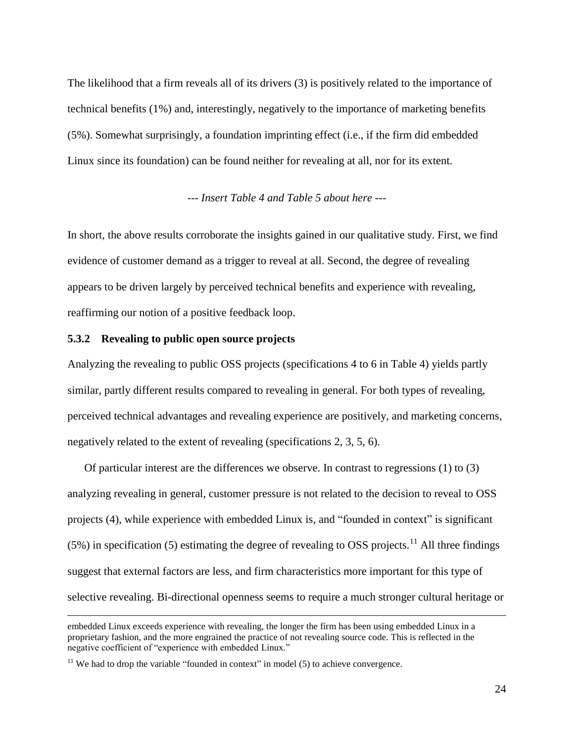The likelihood that a firm reveals all of its drivers (3) is positively related to the importance of technical benefits (1%) and, interestingly, negatively to the importance of marketing benefits (5%). Somewhat surprisingly, a foundation imprinting effect (i.e., if the firm did embedded Linux since its foundation) can be found neither for revealing at all, nor for its extent.

#### *--- Insert Table 4 and Table 5 about here ---*

In short, the above results corroborate the insights gained in our qualitative study. First, we find evidence of customer demand as a trigger to reveal at all. Second, the degree of revealing appears to be driven largely by perceived technical benefits and experience with revealing, reaffirming our notion of a positive feedback loop.

#### **5.3.2 Revealing to public open source projects**

 $\overline{a}$ 

Analyzing the revealing to public OSS projects (specifications 4 to 6 in Table 4) yields partly similar, partly different results compared to revealing in general. For both types of revealing, perceived technical advantages and revealing experience are positively, and marketing concerns, negatively related to the extent of revealing (specifications 2, 3, 5, 6).

Of particular interest are the differences we observe. In contrast to regressions (1) to (3) analyzing revealing in general, customer pressure is not related to the decision to reveal to OSS projects (4), while experience with embedded Linux is, and "founded in context" is significant  $(5%)$  in specification (5) estimating the degree of revealing to OSS projects.<sup>11</sup> All three findings suggest that external factors are less, and firm characteristics more important for this type of selective revealing. Bi-directional openness seems to require a much stronger cultural heritage or

embedded Linux exceeds experience with revealing, the longer the firm has been using embedded Linux in a proprietary fashion, and the more engrained the practice of not revealing source code. This is reflected in the negative coefficient of "experience with embedded Linux."

 $11$  We had to drop the variable "founded in context" in model (5) to achieve convergence.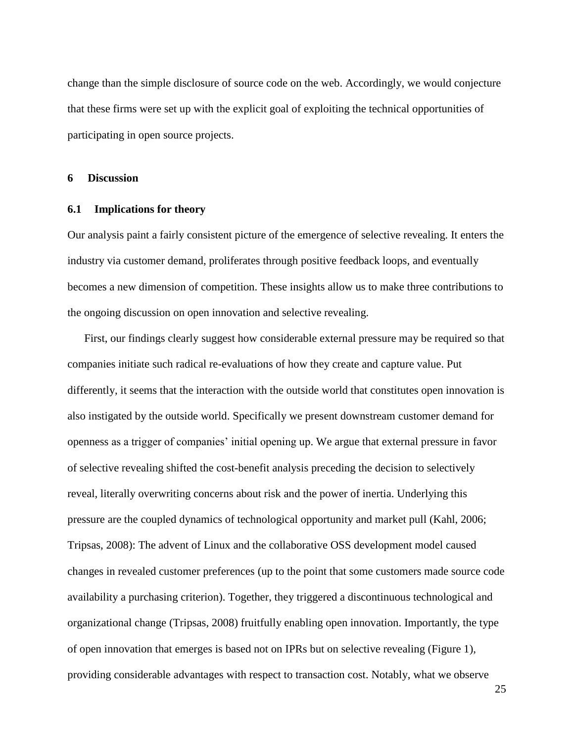change than the simple disclosure of source code on the web. Accordingly, we would conjecture that these firms were set up with the explicit goal of exploiting the technical opportunities of participating in open source projects.

#### **6 Discussion**

#### **6.1 Implications for theory**

Our analysis paint a fairly consistent picture of the emergence of selective revealing. It enters the industry via customer demand, proliferates through positive feedback loops, and eventually becomes a new dimension of competition. These insights allow us to make three contributions to the ongoing discussion on open innovation and selective revealing.

First, our findings clearly suggest how considerable external pressure may be required so that companies initiate such radical re-evaluations of how they create and capture value. Put differently, it seems that the interaction with the outside world that constitutes open innovation is also instigated by the outside world. Specifically we present downstream customer demand for openness as a trigger of companies' initial opening up. We argue that external pressure in favor of selective revealing shifted the cost-benefit analysis preceding the decision to selectively reveal, literally overwriting concerns about risk and the power of inertia. Underlying this pressure are the coupled dynamics of technological opportunity and market pull [\(Kahl, 2006;](#page-35-14) [Tripsas, 2008\)](#page-36-14): The advent of Linux and the collaborative OSS development model caused changes in revealed customer preferences (up to the point that some customers made source code availability a purchasing criterion). Together, they triggered a discontinuous technological and organizational change [\(Tripsas, 2008\)](#page-36-14) fruitfully enabling open innovation. Importantly, the type of open innovation that emerges is based not on IPRs but on selective revealing (Figure 1), providing considerable advantages with respect to transaction cost. Notably, what we observe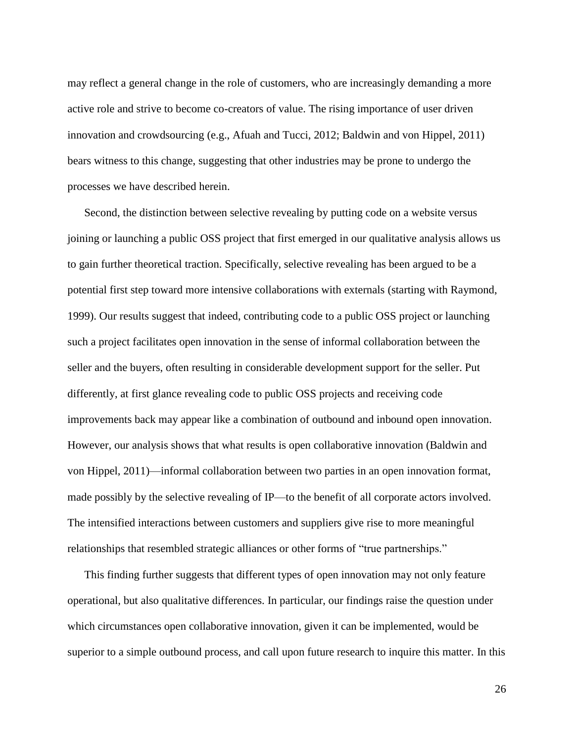may reflect a general change in the role of customers, who are increasingly demanding a more active role and strive to become co-creators of value. The rising importance of user driven innovation and crowdsourcing (e.g., [Afuah and Tucci, 2012;](#page-34-7) [Baldwin and von Hippel, 2011\)](#page-34-9) bears witness to this change, suggesting that other industries may be prone to undergo the processes we have described herein.

Second, the distinction between selective revealing by putting code on a website versus joining or launching a public OSS project that first emerged in our qualitative analysis allows us to gain further theoretical traction. Specifically, selective revealing has been argued to be a potential first step toward more intensive collaborations with externals [\(starting with Raymond,](#page-36-2)  [1999\)](#page-36-2). Our results suggest that indeed, contributing code to a public OSS project or launching such a project facilitates open innovation in the sense of informal collaboration between the seller and the buyers, often resulting in considerable development support for the seller. Put differently, at first glance revealing code to public OSS projects and receiving code improvements back may appear like a combination of outbound and inbound open innovation. However, our analysis shows that what results is open collaborative innovation [\(Baldwin and](#page-34-9)  [von Hippel, 2011\)](#page-34-9)—informal collaboration between two parties in an open innovation format, made possibly by the selective revealing of IP—to the benefit of all corporate actors involved. The intensified interactions between customers and suppliers give rise to more meaningful relationships that resembled strategic alliances or other forms of "true partnerships."

This finding further suggests that different types of open innovation may not only feature operational, but also qualitative differences. In particular, our findings raise the question under which circumstances open collaborative innovation, given it can be implemented, would be superior to a simple outbound process, and call upon future research to inquire this matter. In this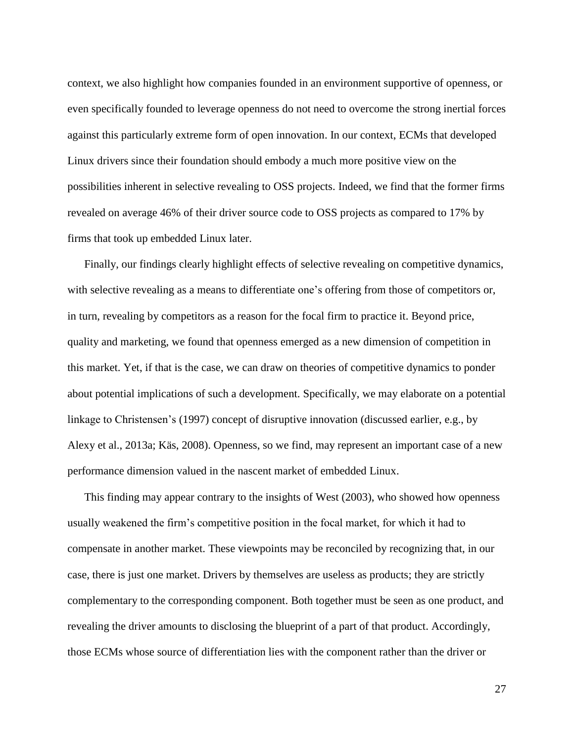context, we also highlight how companies founded in an environment supportive of openness, or even specifically founded to leverage openness do not need to overcome the strong inertial forces against this particularly extreme form of open innovation. In our context, ECMs that developed Linux drivers since their foundation should embody a much more positive view on the possibilities inherent in selective revealing to OSS projects. Indeed, we find that the former firms revealed on average 46% of their driver source code to OSS projects as compared to 17% by firms that took up embedded Linux later.

Finally, our findings clearly highlight effects of selective revealing on competitive dynamics, with selective revealing as a means to differentiate one's offering from those of competitors or, in turn, revealing by competitors as a reason for the focal firm to practice it. Beyond price, quality and marketing, we found that openness emerged as a new dimension of competition in this market. Yet, if that is the case, we can draw on theories of competitive dynamics to ponder about potential implications of such a development. Specifically, we may elaborate on a potential linkage to Christensen's [\(1997\)](#page-34-13) concept of disruptive innovation (discussed earlier, e.g., by [Alexy et al., 2013a;](#page-34-8) [Käs, 2008\)](#page-36-7). Openness, so we find, may represent an important case of a new performance dimension valued in the nascent market of embedded Linux.

This finding may appear contrary to the insights of West [\(2003\)](#page-36-1), who showed how openness usually weakened the firm's competitive position in the focal market, for which it had to compensate in another market. These viewpoints may be reconciled by recognizing that, in our case, there is just one market. Drivers by themselves are useless as products; they are strictly complementary to the corresponding component. Both together must be seen as one product, and revealing the driver amounts to disclosing the blueprint of a part of that product. Accordingly, those ECMs whose source of differentiation lies with the component rather than the driver or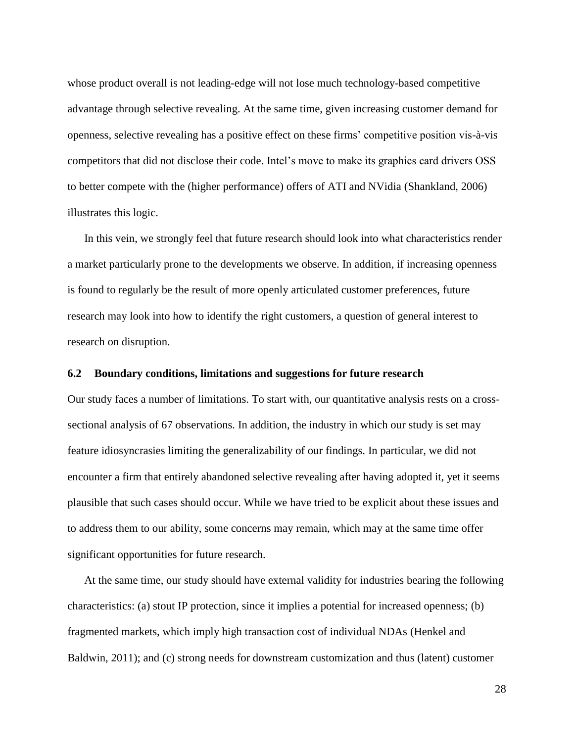whose product overall is not leading-edge will not lose much technology-based competitive advantage through selective revealing. At the same time, given increasing customer demand for openness, selective revealing has a positive effect on these firms' competitive position vis-à-vis competitors that did not disclose their code. Intel's move to make its graphics card drivers OSS to better compete with the (higher performance) offers of ATI and NVidia [\(Shankland, 2006\)](#page-36-10) illustrates this logic.

In this vein, we strongly feel that future research should look into what characteristics render a market particularly prone to the developments we observe. In addition, if increasing openness is found to regularly be the result of more openly articulated customer preferences, future research may look into how to identify the right customers, a question of general interest to research on disruption.

#### **6.2 Boundary conditions, limitations and suggestions for future research**

Our study faces a number of limitations. To start with, our quantitative analysis rests on a crosssectional analysis of 67 observations. In addition, the industry in which our study is set may feature idiosyncrasies limiting the generalizability of our findings. In particular, we did not encounter a firm that entirely abandoned selective revealing after having adopted it, yet it seems plausible that such cases should occur. While we have tried to be explicit about these issues and to address them to our ability, some concerns may remain, which may at the same time offer significant opportunities for future research.

At the same time, our study should have external validity for industries bearing the following characteristics: (a) stout IP protection, since it implies a potential for increased openness; (b) fragmented markets, which imply high transaction cost of individual NDAs [\(Henkel and](#page-35-10)  [Baldwin, 2011\)](#page-35-10); and (c) strong needs for downstream customization and thus (latent) customer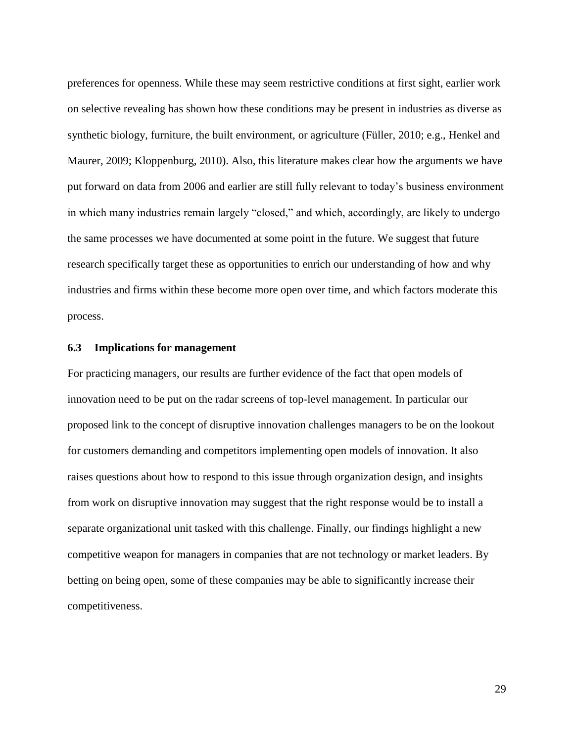preferences for openness. While these may seem restrictive conditions at first sight, earlier work on selective revealing has shown how these conditions may be present in industries as diverse as synthetic biology, furniture, the built environment, or agriculture [\(Füller, 2010;](#page-35-15) [e.g., Henkel and](#page-35-16)  [Maurer, 2009;](#page-35-16) [Kloppenburg, 2010\)](#page-36-15). Also, this literature makes clear how the arguments we have put forward on data from 2006 and earlier are still fully relevant to today's business environment in which many industries remain largely "closed," and which, accordingly, are likely to undergo the same processes we have documented at some point in the future. We suggest that future research specifically target these as opportunities to enrich our understanding of how and why industries and firms within these become more open over time, and which factors moderate this process.

#### **6.3 Implications for management**

For practicing managers, our results are further evidence of the fact that open models of innovation need to be put on the radar screens of top-level management. In particular our proposed link to the concept of disruptive innovation challenges managers to be on the lookout for customers demanding and competitors implementing open models of innovation. It also raises questions about how to respond to this issue through organization design, and insights from work on disruptive innovation may suggest that the right response would be to install a separate organizational unit tasked with this challenge. Finally, our findings highlight a new competitive weapon for managers in companies that are not technology or market leaders. By betting on being open, some of these companies may be able to significantly increase their competitiveness.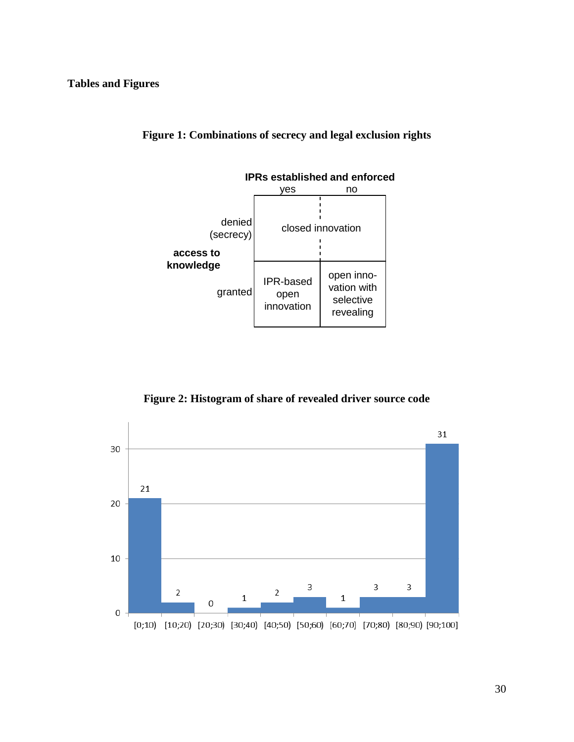**Tables and Figures** 



## **Figure 1: Combinations of secrecy and legal exclusion rights**

**Figure 2: Histogram of share of revealed driver source code**

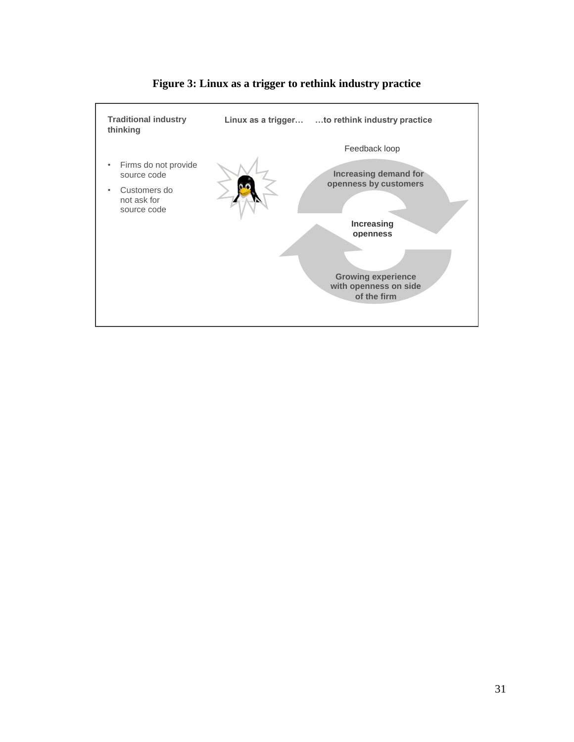

## **Figure 3: Linux as a trigger to rethink industry practice**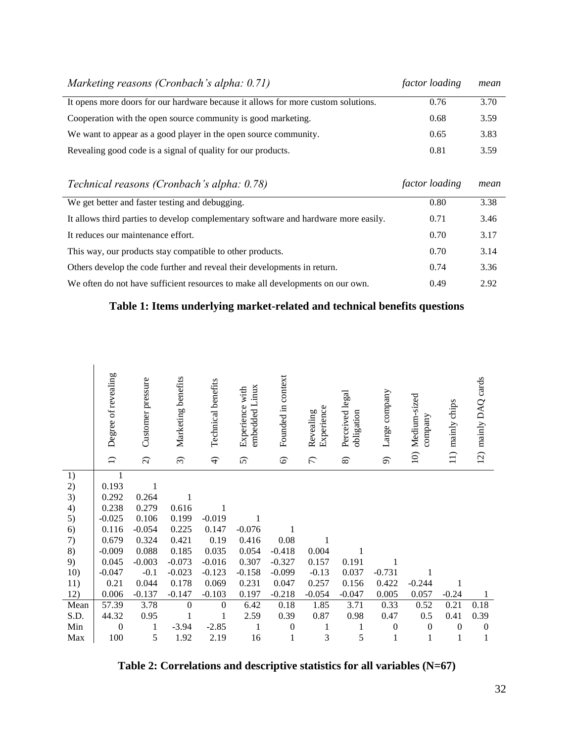| Marketing reasons (Cronbach's alpha: 0.71)                                        | <i>factor loading</i> | mean |
|-----------------------------------------------------------------------------------|-----------------------|------|
| It opens more doors for our hardware because it allows for more custom solutions. | 0.76                  | 3.70 |
| Cooperation with the open source community is good marketing.                     | 0.68                  | 3.59 |
| We want to appear as a good player in the open source community.                  | 0.65                  | 3.83 |
| Revealing good code is a signal of quality for our products.                      | 0.81                  | 3.59 |

| Technical reasons (Cronbach's alpha: 0.78)                                          | <i>factor loading</i> | mean |
|-------------------------------------------------------------------------------------|-----------------------|------|
| We get better and faster testing and debugging.                                     | 0.80                  | 3.38 |
| It allows third parties to develop complementary software and hardware more easily. | 0.71                  | 3.46 |
| It reduces our maintenance effort.                                                  | 0.70                  | 3.17 |
| This way, our products stay compatible to other products.                           | 0.70                  | 3.14 |
| Others develop the code further and reveal their developments in return.            | 0.74                  | 3.36 |
| We often do not have sufficient resources to make all developments on our own.      | 0.49                  | 2.92 |

# **Table 1: Items underlying market-related and technical benefits questions**

|                   | Degree of revealing | Customer pressure  | Marketing benefits       | <b>Technical benefits</b> | embedded Linux<br>Experience with | Founded in context | Experience<br>Revealing | Perceived legal<br>obligation | Large company      | Medium-sized<br>company<br>$\widehat{=}$ | mainly chips<br>$\overline{11}$ | cards<br>mainly DAQ<br>12) |
|-------------------|---------------------|--------------------|--------------------------|---------------------------|-----------------------------------|--------------------|-------------------------|-------------------------------|--------------------|------------------------------------------|---------------------------------|----------------------------|
|                   | $\bigcap$           | $\widehat{\Omega}$ | $\widehat{\mathfrak{D}}$ | $\widehat{+}$             | 5                                 | $\widehat{\circ}$  | $\widehat{\tau}$        | $\widehat{\infty}$            | $\widehat{\sigma}$ |                                          |                                 |                            |
| 1)                |                     |                    |                          |                           |                                   |                    |                         |                               |                    |                                          |                                 |                            |
| 2)                | 0.193               | $\mathbf{1}$       |                          |                           |                                   |                    |                         |                               |                    |                                          |                                 |                            |
| 3)                | 0.292               | 0.264              |                          |                           |                                   |                    |                         |                               |                    |                                          |                                 |                            |
| $\left( 4\right)$ | 0.238               | 0.279              | 0.616                    |                           |                                   |                    |                         |                               |                    |                                          |                                 |                            |
| 5)                | $-0.025$            | 0.106              | 0.199                    | $-0.019$                  | 1                                 |                    |                         |                               |                    |                                          |                                 |                            |
| 6)                | 0.116               | $-0.054$           | 0.225                    | 0.147                     | $-0.076$                          |                    |                         |                               |                    |                                          |                                 |                            |
| 7)                | 0.679               | 0.324              | 0.421                    | 0.19                      | 0.416                             | 0.08               |                         |                               |                    |                                          |                                 |                            |
| 8)                | $-0.009$            | 0.088              | 0.185                    | 0.035                     | 0.054                             | $-0.418$           | 0.004                   |                               |                    |                                          |                                 |                            |
| 9)                | 0.045               | $-0.003$           | $-0.073$                 | $-0.016$                  | 0.307                             | $-0.327$           | 0.157                   | 0.191                         |                    |                                          |                                 |                            |
| 10)               | $-0.047$            | $-0.1$             | $-0.023$                 | $-0.123$                  | $-0.158$                          | $-0.099$           | $-0.13$                 | 0.037                         | $-0.731$           |                                          |                                 |                            |
| 11)               | 0.21                | 0.044              | 0.178                    | 0.069                     | 0.231                             | 0.047              | 0.257                   | 0.156                         | 0.422              | $-0.244$                                 |                                 |                            |
| 12)               | 0.006               | $-0.137$           | $-0.147$                 | $-0.103$                  | 0.197                             | $-0.218$           | $-0.054$                | $-0.047$                      | 0.005              | 0.057                                    | $-0.24$                         |                            |
| Mean              | 57.39               | 3.78               | $\boldsymbol{0}$         | $\boldsymbol{0}$          | 6.42                              | 0.18               | 1.85                    | 3.71                          | 0.33               | 0.52                                     | 0.21                            | 0.18                       |
| S.D.              | 44.32               | 0.95               | $\mathbf{1}$             | $\mathbf{1}$              | 2.59                              | 0.39               | 0.87                    | 0.98                          | 0.47               | 0.5                                      | 0.41                            | 0.39                       |
| Min               | $\boldsymbol{0}$    | $\mathbf{1}$       | $-3.94$                  | $-2.85$                   | $\mathbf{1}$                      | $\boldsymbol{0}$   | $\mathbf{1}$            | $\mathbf{1}$                  | $\boldsymbol{0}$   | $\boldsymbol{0}$                         | $\boldsymbol{0}$                | $\boldsymbol{0}$           |
| Max               | 100                 | 5                  | 1.92                     | 2.19                      | 16                                | $\mathbf{1}$       | 3                       | 5                             | $\mathbf{1}$       | $\mathbf{1}$                             | $\mathbf{1}$                    | 1                          |

**Table 2: Correlations and descriptive statistics for all variables (N=67)**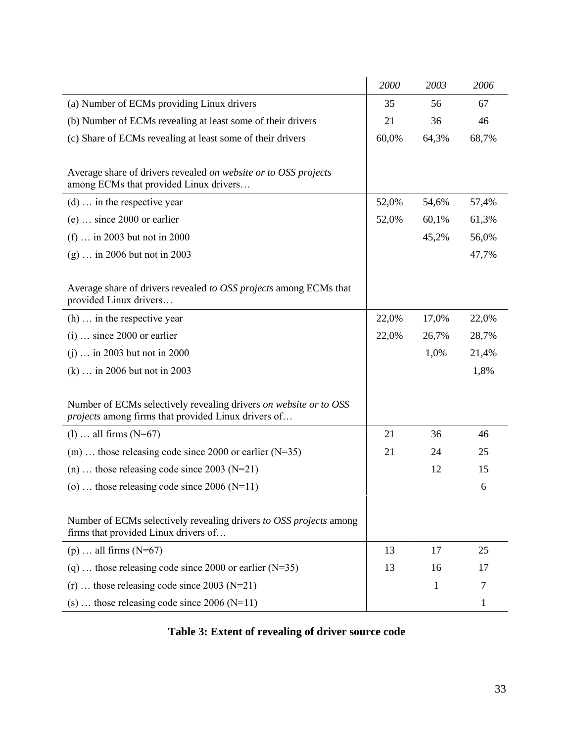|                                                                                                                          | 2000  | 2003  | 2006  |
|--------------------------------------------------------------------------------------------------------------------------|-------|-------|-------|
| (a) Number of ECMs providing Linux drivers                                                                               | 35    | 56    | 67    |
| (b) Number of ECMs revealing at least some of their drivers                                                              | 21    | 36    | 46    |
| (c) Share of ECMs revealing at least some of their drivers                                                               | 60,0% | 64,3% | 68,7% |
|                                                                                                                          |       |       |       |
| Average share of drivers revealed on website or to OSS projects<br>among ECMs that provided Linux drivers                |       |       |       |
| $(d) \dots$ in the respective year                                                                                       | 52,0% | 54,6% | 57,4% |
| $(e) \dots$ since 2000 or earlier                                                                                        | 52,0% | 60,1% | 61,3% |
| (f)  in 2003 but not in 2000                                                                                             |       | 45,2% | 56,0% |
| $(g) \dots$ in 2006 but not in 2003                                                                                      |       |       | 47,7% |
|                                                                                                                          |       |       |       |
| Average share of drivers revealed to OSS projects among ECMs that<br>provided Linux drivers                              |       |       |       |
| $(h) \dots$ in the respective year                                                                                       | 22,0% | 17,0% | 22,0% |
| $(i)$ since 2000 or earlier                                                                                              | 22,0% | 26,7% | 28,7% |
| (j)  in 2003 but not in 2000                                                                                             |       | 1,0%  | 21,4% |
| (k)  in 2006 but not in 2003                                                                                             |       |       | 1,8%  |
|                                                                                                                          |       |       |       |
| Number of ECMs selectively revealing drivers on website or to OSS<br>projects among firms that provided Linux drivers of |       |       |       |
| (1)  all firms $(N=67)$                                                                                                  | 21    | 36    | 46    |
| (m)  those releasing code since 2000 or earlier $(N=35)$                                                                 | 21    | 24    | 25    |
| (n)  those releasing code since 2003 ( $N=21$ )                                                                          |       | 12    | 15    |
| (o)  those releasing code since 2006 ( $N=11$ )                                                                          |       |       | 6     |
|                                                                                                                          |       |       |       |
| Number of ECMs selectively revealing drivers to OSS projects among<br>firms that provided Linux drivers of               |       |       |       |
| (p)  all firms $(N=67)$                                                                                                  | 13    | 17    | 25    |
| (q)  those releasing code since 2000 or earlier $(N=35)$                                                                 | 13    | 16    | 17    |
| $(r)$ those releasing code since 2003 (N=21)                                                                             |       | 1     | 7     |
| (s)  those releasing code since 2006 ( $N=11$ )                                                                          |       |       | 1     |

# **Table 3: Extent of revealing of driver source code**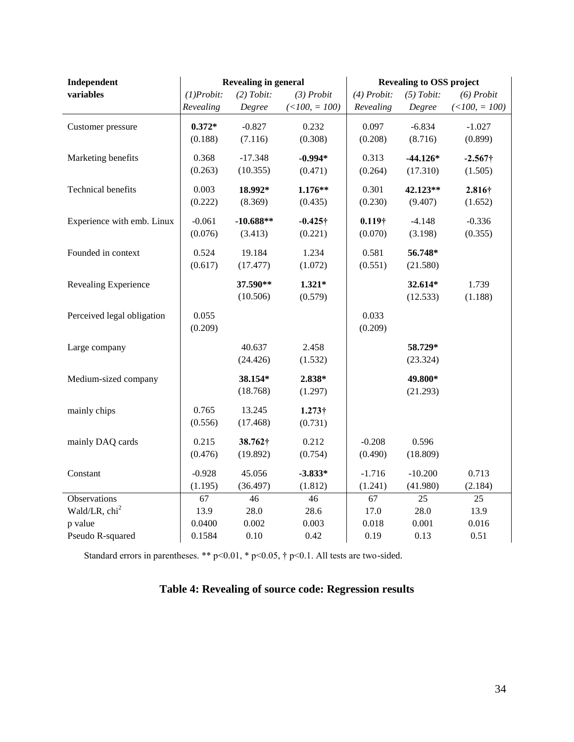| Independent                |               | Revealing in general |                 | <b>Revealing to OSS project</b> |              |                 |  |  |
|----------------------------|---------------|----------------------|-----------------|---------------------------------|--------------|-----------------|--|--|
| variables                  | $(1)$ Probit: | $(2)$ Tobit:         | $(3)$ Probit    | $(4)$ Probit:                   | $(5)$ Tobit: | $(6)$ Probit    |  |  |
|                            | Revealing     | Degree               | $(<100, = 100)$ | Revealing                       | Degree       | $(<100, = 100)$ |  |  |
| Customer pressure          | $0.372*$      | $-0.827$             | 0.232           | 0.097                           | $-6.834$     | $-1.027$        |  |  |
|                            | (0.188)       | (7.116)              | (0.308)         | (0.208)                         | (8.716)      | (0.899)         |  |  |
| Marketing benefits         | 0.368         | $-17.348$            | $-0.994*$       | 0.313                           | $-44.126*$   | $-2.567\dagger$ |  |  |
|                            | (0.263)       | (10.355)             | (0.471)         | (0.264)                         | (17.310)     | (1.505)         |  |  |
| <b>Technical benefits</b>  | 0.003         | 18.992*              | $1.176**$       | 0.301                           | 42.123**     | 2.816†          |  |  |
|                            | (0.222)       | (8.369)              | (0.435)         | (0.230)                         | (9.407)      | (1.652)         |  |  |
| Experience with emb. Linux | $-0.061$      | $-10.688**$          | $-0.425\dagger$ | $0.119\dagger$                  | $-4.148$     | $-0.336$        |  |  |
|                            | (0.076)       | (3.413)              | (0.221)         | (0.070)                         | (3.198)      | (0.355)         |  |  |
| Founded in context         | 0.524         | 19.184               | 1.234           | 0.581                           | 56.748*      |                 |  |  |
|                            | (0.617)       | (17.477)             | (1.072)         | (0.551)                         | (21.580)     |                 |  |  |
| Revealing Experience       |               | 37.590**             | $1.321*$        |                                 | 32.614*      | 1.739           |  |  |
|                            |               | (10.506)             | (0.579)         |                                 | (12.533)     | (1.188)         |  |  |
| Perceived legal obligation | 0.055         |                      |                 | 0.033                           |              |                 |  |  |
|                            | (0.209)       |                      |                 | (0.209)                         |              |                 |  |  |
| Large company              |               | 40.637               | 2.458           |                                 | 58.729*      |                 |  |  |
|                            |               | (24.426)             | (1.532)         |                                 | (23.324)     |                 |  |  |
| Medium-sized company       |               | 38.154*              | 2.838*          |                                 | 49.800*      |                 |  |  |
|                            |               | (18.768)             | (1.297)         |                                 | (21.293)     |                 |  |  |
| mainly chips               | 0.765         | 13.245               | $1.273\dagger$  |                                 |              |                 |  |  |
|                            | (0.556)       | (17.468)             | (0.731)         |                                 |              |                 |  |  |
| mainly DAQ cards           | 0.215         | 38.762†              | 0.212           | $-0.208$                        | 0.596        |                 |  |  |
|                            | (0.476)       | (19.892)             | (0.754)         | (0.490)                         | (18.809)     |                 |  |  |
| Constant                   | $-0.928$      | 45.056               | $-3.833*$       | $-1.716$                        | $-10.200$    | 0.713           |  |  |
|                            | (1.195)       | (36.497)             | (1.812)         | (1.241)                         | (41.980)     | (2.184)         |  |  |
| Observations               | 67            | 46                   | 46              | 67                              | 25           | 25              |  |  |
| Wald/LR, chi <sup>2</sup>  | 13.9          | 28.0                 | 28.6            | 17.0                            | 28.0         | 13.9            |  |  |
| p value                    | 0.0400        | 0.002                | 0.003           | 0.018                           | 0.001        | 0.016           |  |  |
| Pseudo R-squared           | 0.1584        | 0.10                 | 0.42            | 0.19                            | 0.13         | 0.51            |  |  |

Standard errors in parentheses. \*\* p<0.01, \* p<0.05, † p<0.1. All tests are two-sided.

# **Table 4: Revealing of source code: Regression results**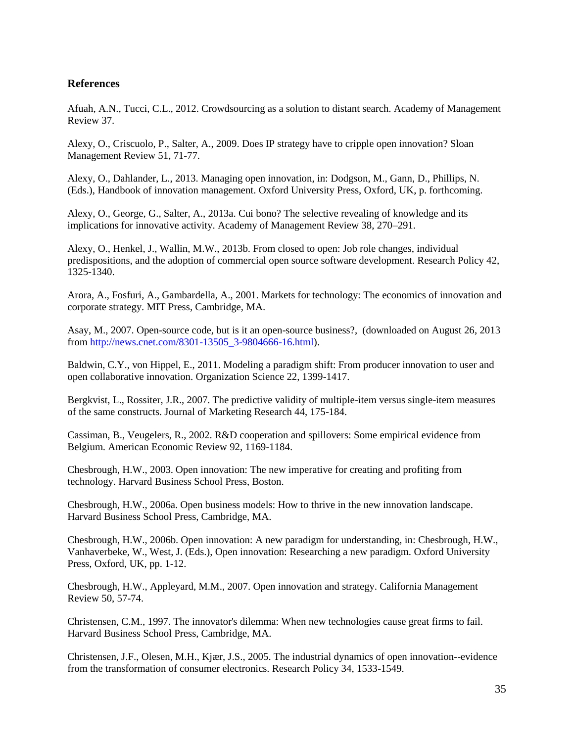## **References**

<span id="page-34-7"></span>Afuah, A.N., Tucci, C.L., 2012. Crowdsourcing as a solution to distant search. Academy of Management Review 37.

<span id="page-34-11"></span>Alexy, O., Criscuolo, P., Salter, A., 2009. Does IP strategy have to cripple open innovation? Sloan Management Review 51, 71-77.

<span id="page-34-5"></span>Alexy, O., Dahlander, L., 2013. Managing open innovation, in: Dodgson, M., Gann, D., Phillips, N. (Eds.), Handbook of innovation management. Oxford University Press, Oxford, UK, p. forthcoming.

<span id="page-34-8"></span>Alexy, O., George, G., Salter, A., 2013a. Cui bono? The selective revealing of knowledge and its implications for innovative activity. Academy of Management Review 38, 270–291.

<span id="page-34-4"></span>Alexy, O., Henkel, J., Wallin, M.W., 2013b. From closed to open: Job role changes, individual predispositions, and the adoption of commercial open source software development. Research Policy 42, 1325-1340.

<span id="page-34-0"></span>Arora, A., Fosfuri, A., Gambardella, A., 2001. Markets for technology: The economics of innovation and corporate strategy. MIT Press, Cambridge, MA.

<span id="page-34-12"></span>Asay, M., 2007. Open-source code, but is it an open-source business?, (downloaded on August 26, 2013 from [http://news.cnet.com/8301-13505\\_3-9804666-16.html\)](http://news.cnet.com/8301-13505_3-9804666-16.html).

<span id="page-34-9"></span>Baldwin, C.Y., von Hippel, E., 2011. Modeling a paradigm shift: From producer innovation to user and open collaborative innovation. Organization Science 22, 1399-1417.

<span id="page-34-14"></span>Bergkvist, L., Rossiter, J.R., 2007. The predictive validity of multiple-item versus single-item measures of the same constructs. Journal of Marketing Research 44, 175-184.

<span id="page-34-10"></span>Cassiman, B., Veugelers, R., 2002. R&D cooperation and spillovers: Some empirical evidence from Belgium. American Economic Review 92, 1169-1184.

<span id="page-34-1"></span>Chesbrough, H.W., 2003. Open innovation: The new imperative for creating and profiting from technology. Harvard Business School Press, Boston.

<span id="page-34-2"></span>Chesbrough, H.W., 2006a. Open business models: How to thrive in the new innovation landscape. Harvard Business School Press, Cambridge, MA.

Chesbrough, H.W., 2006b. Open innovation: A new paradigm for understanding, in: Chesbrough, H.W., Vanhaverbeke, W., West, J. (Eds.), Open innovation: Researching a new paradigm. Oxford University Press, Oxford, UK, pp. 1-12.

<span id="page-34-3"></span>Chesbrough, H.W., Appleyard, M.M., 2007. Open innovation and strategy. California Management Review 50, 57-74.

<span id="page-34-13"></span>Christensen, C.M., 1997. The innovator's dilemma: When new technologies cause great firms to fail. Harvard Business School Press, Cambridge, MA.

<span id="page-34-6"></span>Christensen, J.F., Olesen, M.H., Kjær, J.S., 2005. The industrial dynamics of open innovation--evidence from the transformation of consumer electronics. Research Policy 34, 1533-1549.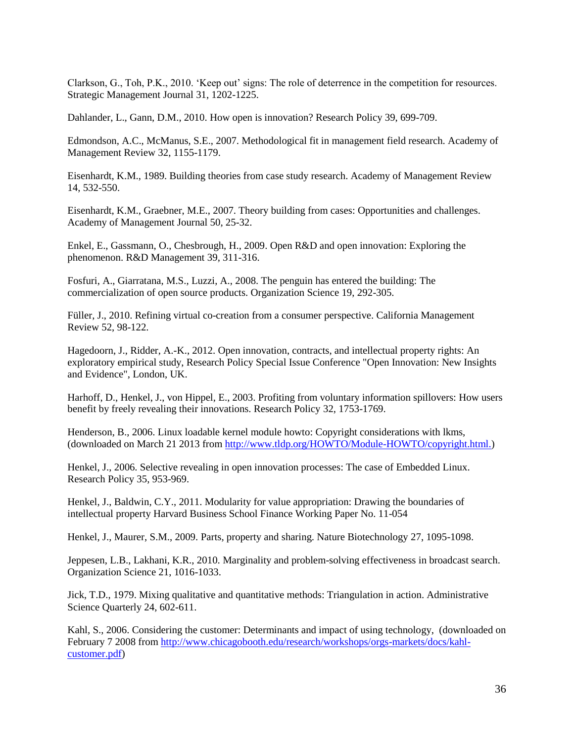<span id="page-35-5"></span>Clarkson, G., Toh, P.K., 2010. 'Keep out' signs: The role of deterrence in the competition for resources. Strategic Management Journal 31, 1202-1225.

<span id="page-35-4"></span>Dahlander, L., Gann, D.M., 2010. How open is innovation? Research Policy 39, 699-709.

<span id="page-35-2"></span>Edmondson, A.C., McManus, S.E., 2007. Methodological fit in management field research. Academy of Management Review 32, 1155-1179.

<span id="page-35-11"></span>Eisenhardt, K.M., 1989. Building theories from case study research. Academy of Management Review 14, 532-550.

<span id="page-35-13"></span>Eisenhardt, K.M., Graebner, M.E., 2007. Theory building from cases: Opportunities and challenges. Academy of Management Journal 50, 25-32.

<span id="page-35-0"></span>Enkel, E., Gassmann, O., Chesbrough, H., 2009. Open R&D and open innovation: Exploring the phenomenon. R&D Management 39, 311-316.

<span id="page-35-7"></span>Fosfuri, A., Giarratana, M.S., Luzzi, A., 2008. The penguin has entered the building: The commercialization of open source products. Organization Science 19, 292-305.

<span id="page-35-15"></span>Füller, J., 2010. Refining virtual co-creation from a consumer perspective. California Management Review 52, 98-122.

<span id="page-35-6"></span>Hagedoorn, J., Ridder, A.-K., 2012. Open innovation, contracts, and intellectual property rights: An exploratory empirical study, Research Policy Special Issue Conference "Open Innovation: New Insights and Evidence", London, UK.

<span id="page-35-9"></span>Harhoff, D., Henkel, J., von Hippel, E., 2003. Profiting from voluntary information spillovers: How users benefit by freely revealing their innovations. Research Policy 32, 1753-1769.

<span id="page-35-3"></span>Henderson, B., 2006. Linux loadable kernel module howto: Copyright considerations with lkms, (downloaded on March 21 2013 from [http://www.tldp.org/HOWTO/Module-HOWTO/copyright.html.\)](http://www.tldp.org/HOWTO/Module-HOWTO/copyright.html.)

<span id="page-35-1"></span>Henkel, J., 2006. Selective revealing in open innovation processes: The case of Embedded Linux. Research Policy 35, 953-969.

<span id="page-35-10"></span>Henkel, J., Baldwin, C.Y., 2011. Modularity for value appropriation: Drawing the boundaries of intellectual property Harvard Business School Finance Working Paper No. 11-054

<span id="page-35-16"></span>Henkel, J., Maurer, S.M., 2009. Parts, property and sharing. Nature Biotechnology 27, 1095-1098.

<span id="page-35-8"></span>Jeppesen, L.B., Lakhani, K.R., 2010. Marginality and problem-solving effectiveness in broadcast search. Organization Science 21, 1016-1033.

<span id="page-35-12"></span>Jick, T.D., 1979. Mixing qualitative and quantitative methods: Triangulation in action. Administrative Science Quarterly 24, 602-611.

<span id="page-35-14"></span>Kahl, S., 2006. Considering the customer: Determinants and impact of using technology, (downloaded on February 7 2008 fro[m http://www.chicagobooth.edu/research/workshops/orgs-markets/docs/kahl](http://www.chicagobooth.edu/research/workshops/orgs-markets/docs/kahl-customer.pdf)[customer.pdf\)](http://www.chicagobooth.edu/research/workshops/orgs-markets/docs/kahl-customer.pdf)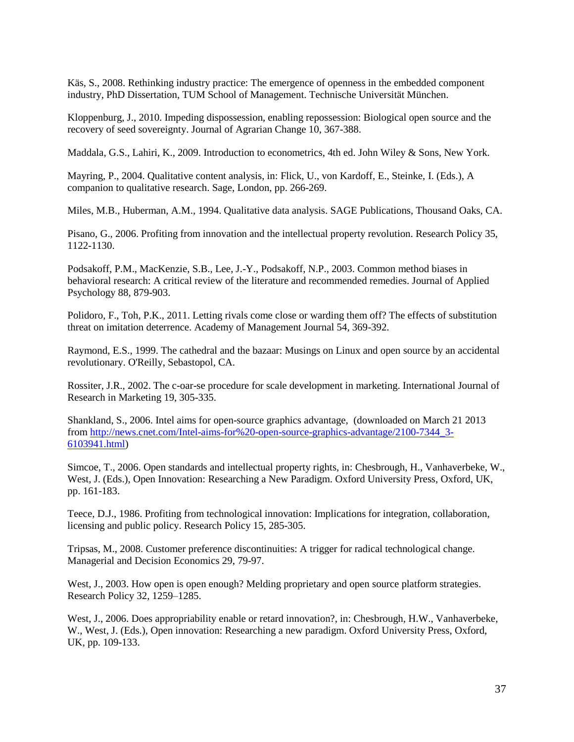<span id="page-36-7"></span>Käs, S., 2008. Rethinking industry practice: The emergence of openness in the embedded component industry, PhD Dissertation, TUM School of Management. Technische Universität München.

<span id="page-36-15"></span>Kloppenburg, J., 2010. Impeding dispossession, enabling repossession: Biological open source and the recovery of seed sovereignty. Journal of Agrarian Change 10, 367-388.

<span id="page-36-13"></span>Maddala, G.S., Lahiri, K., 2009. Introduction to econometrics, 4th ed. John Wiley & Sons, New York.

<span id="page-36-8"></span>Mayring, P., 2004. Qualitative content analysis, in: Flick, U., von Kardoff, E., Steinke, I. (Eds.), A companion to qualitative research. Sage, London, pp. 266-269.

<span id="page-36-9"></span>Miles, M.B., Huberman, A.M., 1994. Qualitative data analysis. SAGE Publications, Thousand Oaks, CA.

<span id="page-36-0"></span>Pisano, G., 2006. Profiting from innovation and the intellectual property revolution. Research Policy 35, 1122-1130.

<span id="page-36-12"></span>Podsakoff, P.M., MacKenzie, S.B., Lee, J.-Y., Podsakoff, N.P., 2003. Common method biases in behavioral research: A critical review of the literature and recommended remedies. Journal of Applied Psychology 88, 879-903.

<span id="page-36-3"></span>Polidoro, F., Toh, P.K., 2011. Letting rivals come close or warding them off? The effects of substitution threat on imitation deterrence. Academy of Management Journal 54, 369-392.

<span id="page-36-2"></span>Raymond, E.S., 1999. The cathedral and the bazaar: Musings on Linux and open source by an accidental revolutionary. O'Reilly, Sebastopol, CA.

<span id="page-36-11"></span>Rossiter, J.R., 2002. The c-oar-se procedure for scale development in marketing. International Journal of Research in Marketing 19, 305-335.

<span id="page-36-10"></span>Shankland, S., 2006. Intel aims for open-source graphics advantage, (downloaded on March 21 2013 from [http://news.cnet.com/Intel-aims-for%20-open-source-graphics-advantage/2100-7344\\_3-](http://news.cnet.com/Intel-aims-for%20-open-source-graphics-advantage/2100-7344_3-6103941.html) [6103941.html\)](http://news.cnet.com/Intel-aims-for%20-open-source-graphics-advantage/2100-7344_3-6103941.html)

<span id="page-36-5"></span>Simcoe, T., 2006. Open standards and intellectual property rights, in: Chesbrough, H., Vanhaverbeke, W., West, J. (Eds.), Open Innovation: Researching a New Paradigm. Oxford University Press, Oxford, UK, pp. 161-183.

<span id="page-36-6"></span>Teece, D.J., 1986. Profiting from technological innovation: Implications for integration, collaboration, licensing and public policy. Research Policy 15, 285-305.

<span id="page-36-14"></span>Tripsas, M., 2008. Customer preference discontinuities: A trigger for radical technological change. Managerial and Decision Economics 29, 79-97.

<span id="page-36-1"></span>West, J., 2003. How open is open enough? Melding proprietary and open source platform strategies. Research Policy 32, 1259–1285.

<span id="page-36-4"></span>West, J., 2006. Does appropriability enable or retard innovation?, in: Chesbrough, H.W., Vanhaverbeke, W., West, J. (Eds.), Open innovation: Researching a new paradigm. Oxford University Press, Oxford, UK, pp. 109-133.